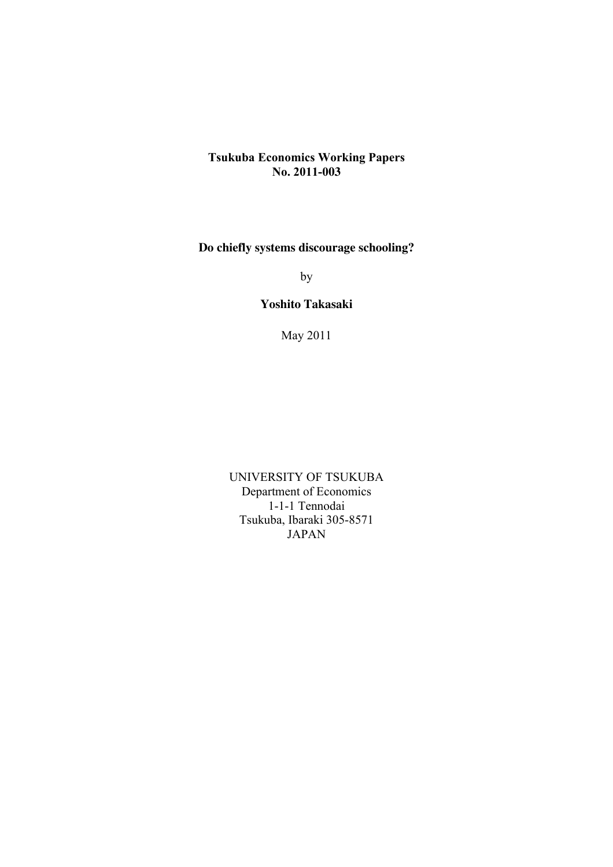# **Tsukuba Economics Working Papers No. 2011-003**

# **Do chiefly systems discourage schooling?**

by

# **Yoshito Takasaki**

May 2011

UNIVERSITY OF TSUKUBA Department of Economics 1-1-1 Tennodai Tsukuba, Ibaraki 305-8571 JAPAN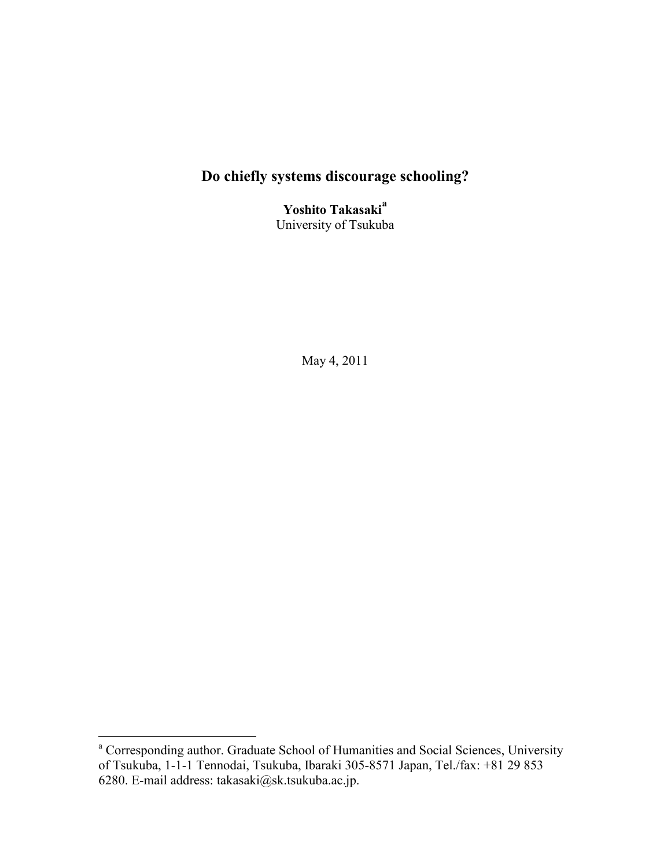# **Do chiefly systems discourage schooling?**

**Yoshito Takasaki<sup>a</sup>** University of Tsukuba

May 4, 2011

<sup>&</sup>lt;sup>a</sup> Corresponding author. Graduate School of Humanities and Social Sciences, University of Tsukuba, 1-1-1 Tennodai, Tsukuba, Ibaraki 305-8571 Japan, Tel./fax: +81 29 853 6280. E-mail address: takasaki@sk.tsukuba.ac.jp.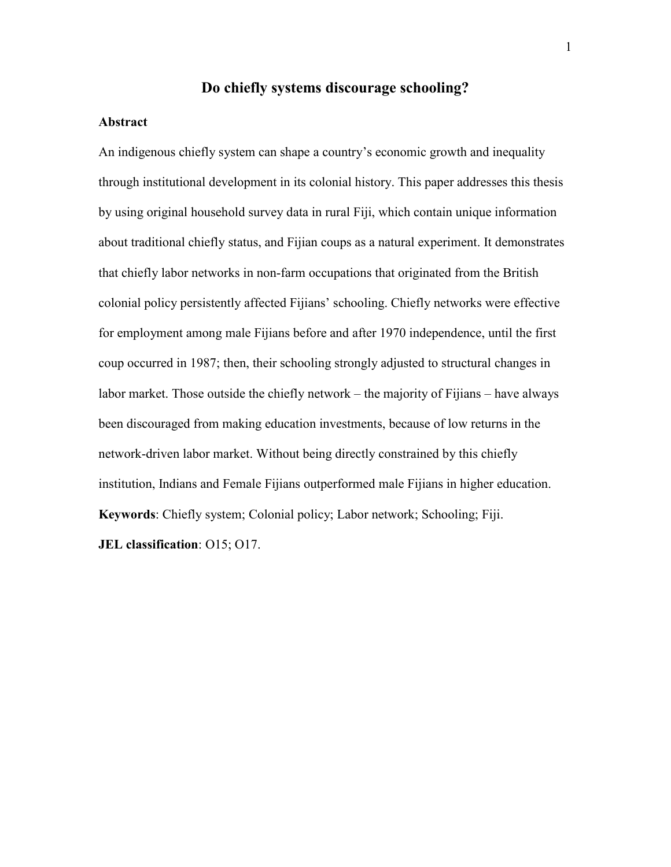# **Do chiefly systems discourage schooling?**

#### **Abstract**

An indigenous chiefly system can shape a country's economic growth and inequality through institutional development in its colonial history. This paper addresses this thesis by using original household survey data in rural Fiji, which contain unique information about traditional chiefly status, and Fijian coups as a natural experiment. It demonstrates that chiefly labor networks in non-farm occupations that originated from the British colonial policy persistently affected Fijians' schooling. Chiefly networks were effective for employment among male Fijians before and after 1970 independence, until the first coup occurred in 1987; then, their schooling strongly adjusted to structural changes in labor market. Those outside the chiefly network – the majority of Fijians – have always been discouraged from making education investments, because of low returns in the network-driven labor market. Without being directly constrained by this chiefly institution, Indians and Female Fijians outperformed male Fijians in higher education. **Keywords**: Chiefly system; Colonial policy; Labor network; Schooling; Fiji. **JEL classification**: O15; O17.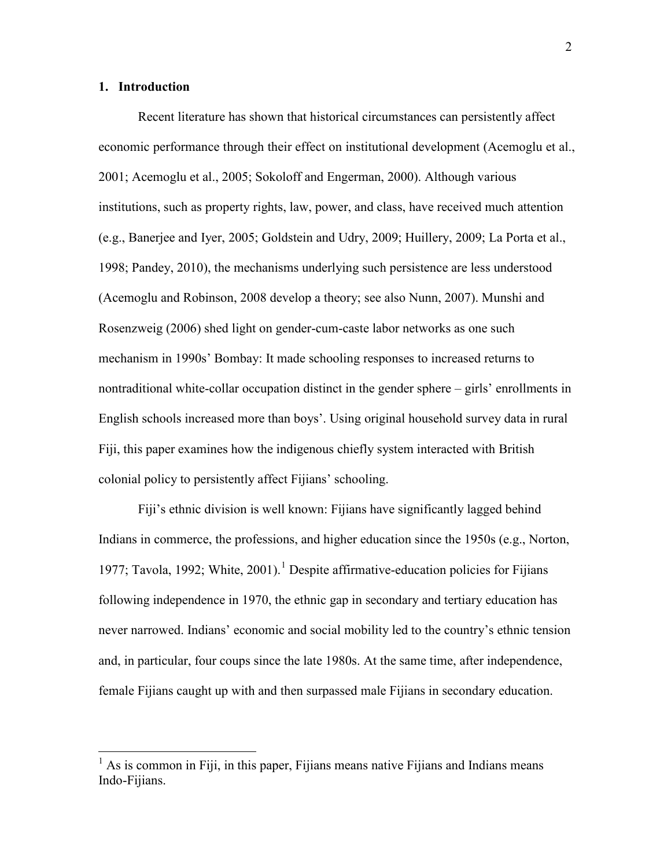#### **1. Introduction**

Recent literature has shown that historical circumstances can persistently affect economic performance through their effect on institutional development (Acemoglu et al., 2001; Acemoglu et al., 2005; Sokoloff and Engerman, 2000). Although various institutions, such as property rights, law, power, and class, have received much attention (e.g., Banerjee and Iyer, 2005; Goldstein and Udry, 2009; Huillery, 2009; La Porta et al., 1998; Pandey, 2010), the mechanisms underlying such persistence are less understood (Acemoglu and Robinson, 2008 develop a theory; see also Nunn, 2007). Munshi and Rosenzweig (2006) shed light on gender-cum-caste labor networks as one such mechanism in 1990s' Bombay: It made schooling responses to increased returns to nontraditional white-collar occupation distinct in the gender sphere – girls' enrollments in English schools increased more than boys'. Using original household survey data in rural Fiji, this paper examines how the indigenous chiefly system interacted with British colonial policy to persistently affect Fijians' schooling.

Fiji's ethnic division is well known: Fijians have significantly lagged behind Indians in commerce, the professions, and higher education since the 1950s (e.g., Norton, 1977; Tavola, 1992; White, 2001).<sup>1</sup> Despite affirmative-education policies for Fijians following independence in 1970, the ethnic gap in secondary and tertiary education has never narrowed. Indians' economic and social mobility led to the country's ethnic tension and, in particular, four coups since the late 1980s. At the same time, after independence, female Fijians caught up with and then surpassed male Fijians in secondary education.

 $<sup>1</sup>$  As is common in Fiji, in this paper, Fijians means native Fijians and Indians means</sup> Indo-Fijians.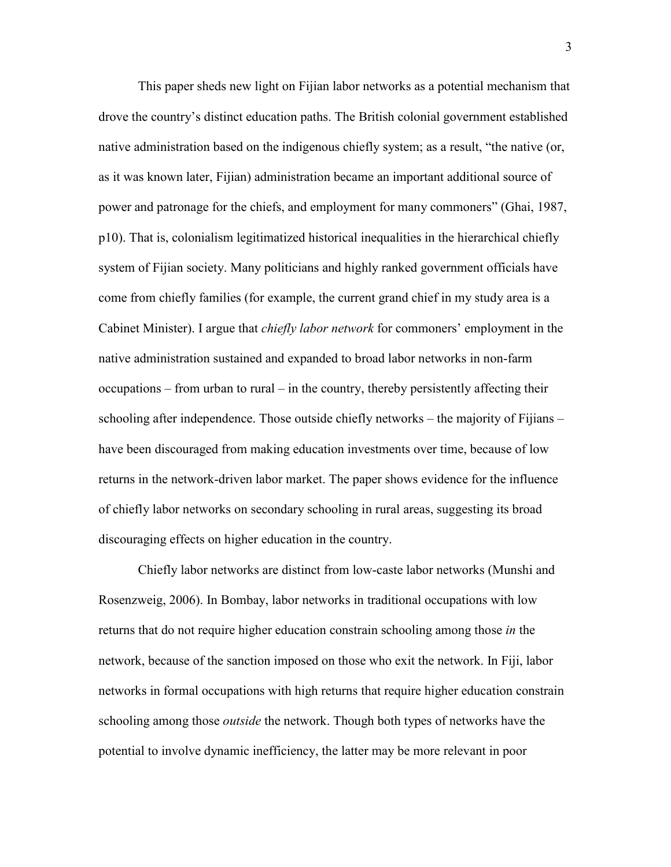This paper sheds new light on Fijian labor networks as a potential mechanism that drove the country's distinct education paths. The British colonial government established native administration based on the indigenous chiefly system; as a result, "the native (or, as it was known later, Fijian) administration became an important additional source of power and patronage for the chiefs, and employment for many commoners" (Ghai, 1987, p10). That is, colonialism legitimatized historical inequalities in the hierarchical chiefly system of Fijian society. Many politicians and highly ranked government officials have come from chiefly families (for example, the current grand chief in my study area is a Cabinet Minister). I argue that *chiefly labor network* for commoners' employment in the native administration sustained and expanded to broad labor networks in non-farm occupations – from urban to rural – in the country, thereby persistently affecting their schooling after independence. Those outside chiefly networks – the majority of Fijians – have been discouraged from making education investments over time, because of low returns in the network-driven labor market. The paper shows evidence for the influence of chiefly labor networks on secondary schooling in rural areas, suggesting its broad discouraging effects on higher education in the country.

Chiefly labor networks are distinct from low-caste labor networks (Munshi and Rosenzweig, 2006). In Bombay, labor networks in traditional occupations with low returns that do not require higher education constrain schooling among those *in* the network, because of the sanction imposed on those who exit the network. In Fiji, labor networks in formal occupations with high returns that require higher education constrain schooling among those *outside* the network. Though both types of networks have the potential to involve dynamic inefficiency, the latter may be more relevant in poor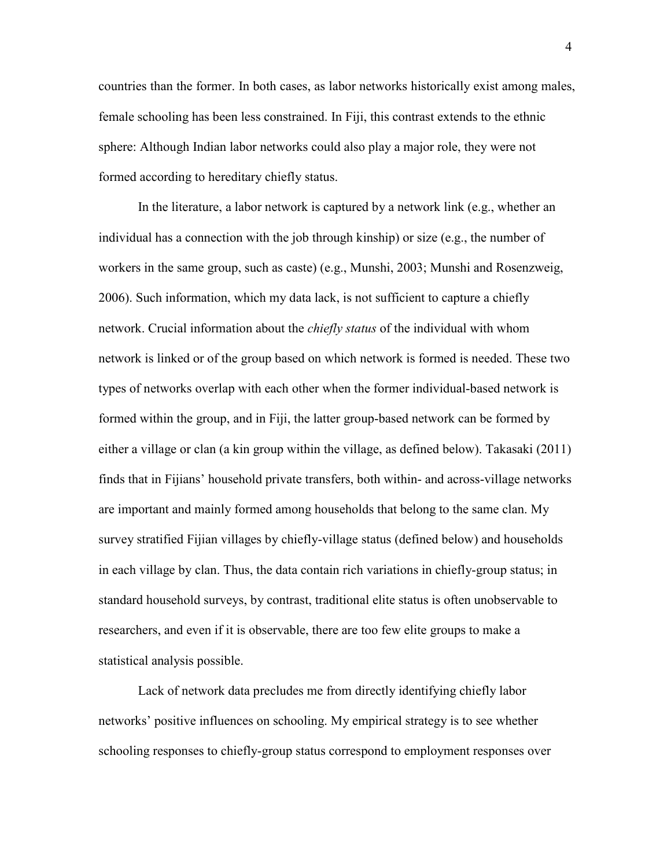countries than the former. In both cases, as labor networks historically exist among males, female schooling has been less constrained. In Fiji, this contrast extends to the ethnic sphere: Although Indian labor networks could also play a major role, they were not formed according to hereditary chiefly status.

In the literature, a labor network is captured by a network link (e.g., whether an individual has a connection with the job through kinship) or size (e.g., the number of workers in the same group, such as caste) (e.g., Munshi, 2003; Munshi and Rosenzweig, 2006). Such information, which my data lack, is not sufficient to capture a chiefly network. Crucial information about the *chiefly status* of the individual with whom network is linked or of the group based on which network is formed is needed. These two types of networks overlap with each other when the former individual-based network is formed within the group, and in Fiji, the latter group-based network can be formed by either a village or clan (a kin group within the village, as defined below). Takasaki (2011) finds that in Fijians' household private transfers, both within- and across-village networks are important and mainly formed among households that belong to the same clan. My survey stratified Fijian villages by chiefly-village status (defined below) and households in each village by clan. Thus, the data contain rich variations in chiefly-group status; in standard household surveys, by contrast, traditional elite status is often unobservable to researchers, and even if it is observable, there are too few elite groups to make a statistical analysis possible.

Lack of network data precludes me from directly identifying chiefly labor networks' positive influences on schooling. My empirical strategy is to see whether schooling responses to chiefly-group status correspond to employment responses over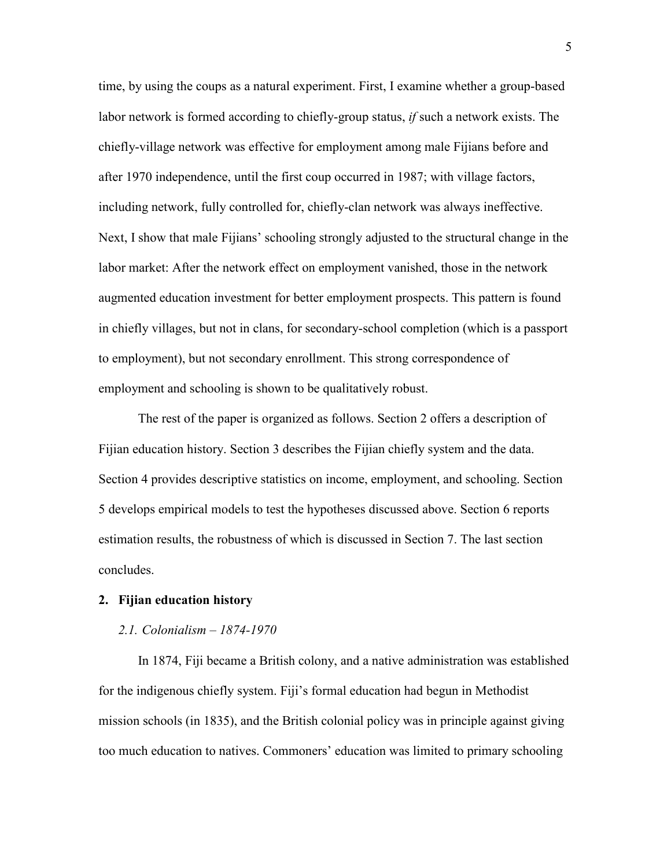time, by using the coups as a natural experiment. First, I examine whether a group-based labor network is formed according to chiefly-group status, *if* such a network exists. The chiefly-village network was effective for employment among male Fijians before and after 1970 independence, until the first coup occurred in 1987; with village factors, including network, fully controlled for, chiefly-clan network was always ineffective. Next, I show that male Fijians' schooling strongly adjusted to the structural change in the labor market: After the network effect on employment vanished, those in the network augmented education investment for better employment prospects. This pattern is found in chiefly villages, but not in clans, for secondary-school completion (which is a passport to employment), but not secondary enrollment. This strong correspondence of employment and schooling is shown to be qualitatively robust.

The rest of the paper is organized as follows. Section 2 offers a description of Fijian education history. Section 3 describes the Fijian chiefly system and the data. Section 4 provides descriptive statistics on income, employment, and schooling. Section 5 develops empirical models to test the hypotheses discussed above. Section 6 reports estimation results, the robustness of which is discussed in Section 7. The last section concludes.

#### **2. Fijian education history**

#### *2.1. Colonialism – 1874-1970*

In 1874, Fiji became a British colony, and a native administration was established for the indigenous chiefly system. Fiji's formal education had begun in Methodist mission schools (in 1835), and the British colonial policy was in principle against giving too much education to natives. Commoners' education was limited to primary schooling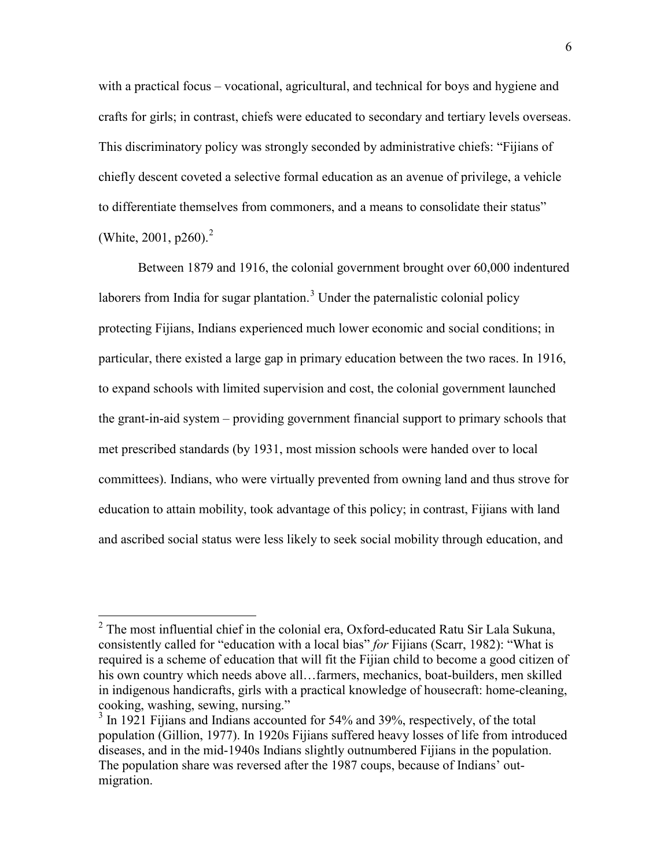with a practical focus – vocational, agricultural, and technical for boys and hygiene and crafts for girls; in contrast, chiefs were educated to secondary and tertiary levels overseas. This discriminatory policy was strongly seconded by administrative chiefs: "Fijians of chiefly descent coveted a selective formal education as an avenue of privilege, a vehicle to differentiate themselves from commoners, and a means to consolidate their status" (White, 2001, p260).<sup>2</sup>

Between 1879 and 1916, the colonial government brought over 60,000 indentured laborers from India for sugar plantation.<sup>3</sup> Under the paternalistic colonial policy protecting Fijians, Indians experienced much lower economic and social conditions; in particular, there existed a large gap in primary education between the two races. In 1916, to expand schools with limited supervision and cost, the colonial government launched the grant-in-aid system – providing government financial support to primary schools that met prescribed standards (by 1931, most mission schools were handed over to local committees). Indians, who were virtually prevented from owning land and thus strove for education to attain mobility, took advantage of this policy; in contrast, Fijians with land and ascribed social status were less likely to seek social mobility through education, and

 $2$  The most influential chief in the colonial era, Oxford-educated Ratu Sir Lala Sukuna, consistently called for "education with a local bias" *for* Fijians (Scarr, 1982): "What is required is a scheme of education that will fit the Fijian child to become a good citizen of his own country which needs above all…farmers, mechanics, boat-builders, men skilled in indigenous handicrafts, girls with a practical knowledge of housecraft: home-cleaning, cooking, washing, sewing, nursing."

<sup>&</sup>lt;sup>3</sup> In 1921 Fijians and Indians accounted for 54% and 39%, respectively, of the total population (Gillion, 1977). In 1920s Fijians suffered heavy losses of life from introduced diseases, and in the mid-1940s Indians slightly outnumbered Fijians in the population. The population share was reversed after the 1987 coups, because of Indians' outmigration.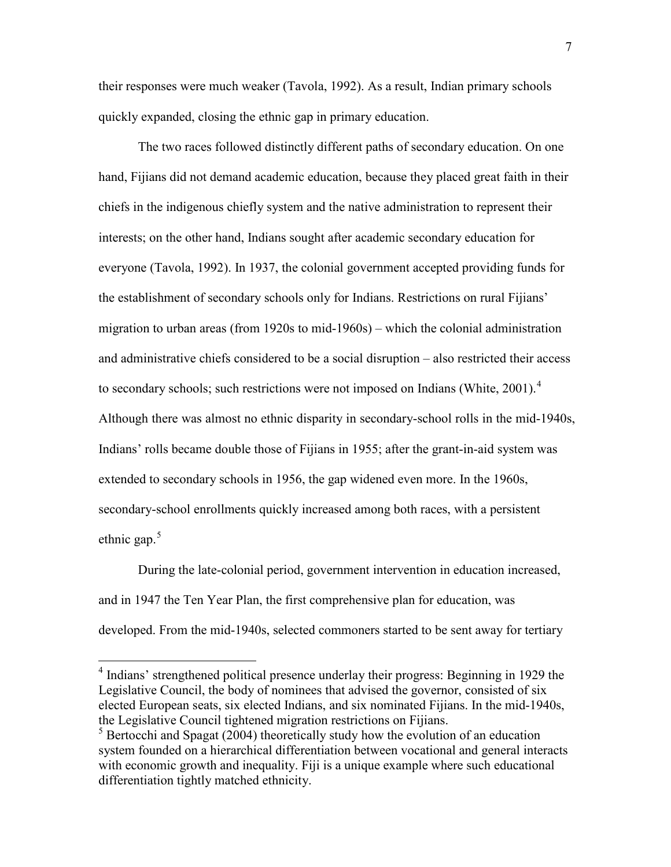their responses were much weaker (Tavola, 1992). As a result, Indian primary schools quickly expanded, closing the ethnic gap in primary education.

The two races followed distinctly different paths of secondary education. On one hand, Fijians did not demand academic education, because they placed great faith in their chiefs in the indigenous chiefly system and the native administration to represent their interests; on the other hand, Indians sought after academic secondary education for everyone (Tavola, 1992). In 1937, the colonial government accepted providing funds for the establishment of secondary schools only for Indians. Restrictions on rural Fijians' migration to urban areas (from 1920s to mid-1960s) – which the colonial administration and administrative chiefs considered to be a social disruption – also restricted their access to secondary schools; such restrictions were not imposed on Indians (White, 2001).<sup>4</sup> Although there was almost no ethnic disparity in secondary-school rolls in the mid-1940s, Indians' rolls became double those of Fijians in 1955; after the grant-in-aid system was extended to secondary schools in 1956, the gap widened even more. In the 1960s, secondary-school enrollments quickly increased among both races, with a persistent ethnic gap. $5$ 

During the late-colonial period, government intervention in education increased, and in 1947 the Ten Year Plan, the first comprehensive plan for education, was developed. From the mid-1940s, selected commoners started to be sent away for tertiary

 <sup>4</sup> Indians' strengthened political presence underlay their progress: Beginning in 1929 the Legislative Council, the body of nominees that advised the governor, consisted of six elected European seats, six elected Indians, and six nominated Fijians. In the mid-1940s, the Legislative Council tightened migration restrictions on Fijians.

 $5$  Bertocchi and Spagat (2004) theoretically study how the evolution of an education system founded on a hierarchical differentiation between vocational and general interacts with economic growth and inequality. Fiji is a unique example where such educational differentiation tightly matched ethnicity.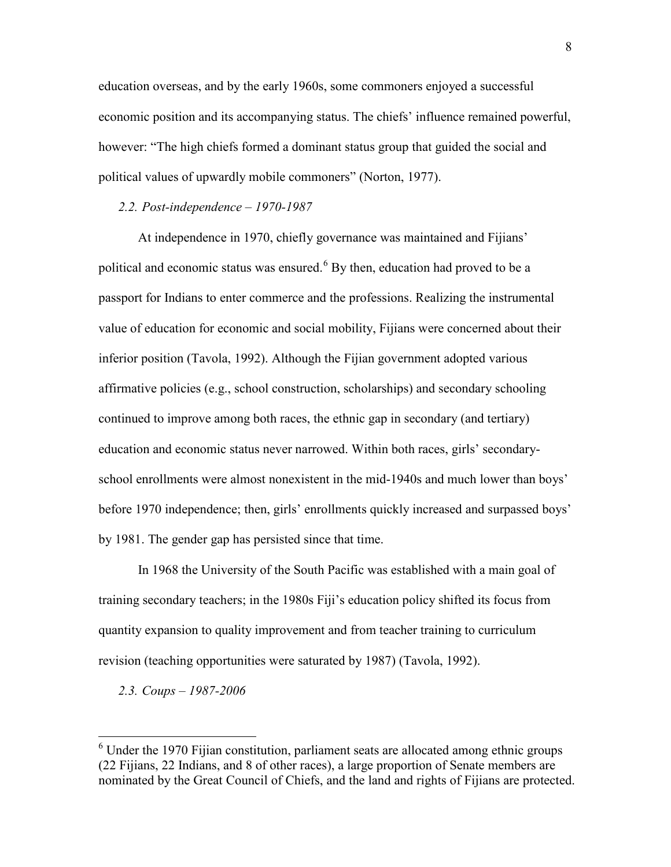education overseas, and by the early 1960s, some commoners enjoyed a successful economic position and its accompanying status. The chiefs' influence remained powerful, however: "The high chiefs formed a dominant status group that guided the social and political values of upwardly mobile commoners" (Norton, 1977).

### *2.2. Post-independence – 1970-1987*

At independence in 1970, chiefly governance was maintained and Fijians' political and economic status was ensured. 6 By then, education had proved to be a passport for Indians to enter commerce and the professions. Realizing the instrumental value of education for economic and social mobility, Fijians were concerned about their inferior position (Tavola, 1992). Although the Fijian government adopted various affirmative policies (e.g., school construction, scholarships) and secondary schooling continued to improve among both races, the ethnic gap in secondary (and tertiary) education and economic status never narrowed. Within both races, girls' secondaryschool enrollments were almost nonexistent in the mid-1940s and much lower than boys' before 1970 independence; then, girls' enrollments quickly increased and surpassed boys' by 1981. The gender gap has persisted since that time.

In 1968 the University of the South Pacific was established with a main goal of training secondary teachers; in the 1980s Fiji's education policy shifted its focus from quantity expansion to quality improvement and from teacher training to curriculum revision (teaching opportunities were saturated by 1987) (Tavola, 1992).

*2.3. Coups – 1987-2006*

 $6$  Under the 1970 Fijian constitution, parliament seats are allocated among ethnic groups (22 Fijians, 22 Indians, and 8 of other races), a large proportion of Senate members are nominated by the Great Council of Chiefs, and the land and rights of Fijians are protected.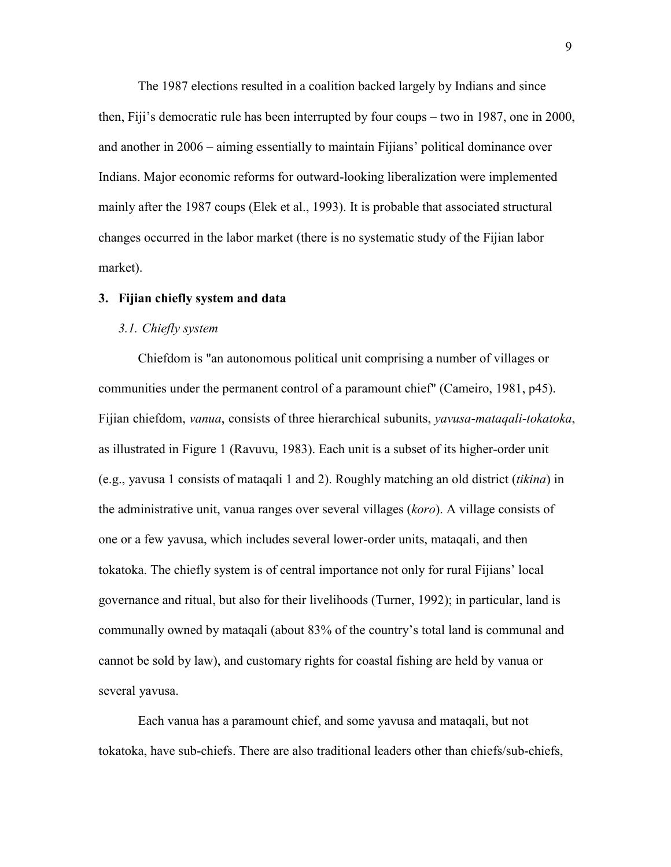The 1987 elections resulted in a coalition backed largely by Indians and since then, Fiji's democratic rule has been interrupted by four coups – two in 1987, one in 2000, and another in 2006 – aiming essentially to maintain Fijians' political dominance over Indians. Major economic reforms for outward-looking liberalization were implemented mainly after the 1987 coups (Elek et al., 1993). It is probable that associated structural changes occurred in the labor market (there is no systematic study of the Fijian labor market).

#### **3. Fijian chiefly system and data**

#### *3.1. Chiefly system*

Chiefdom is "an autonomous political unit comprising a number of villages or communities under the permanent control of a paramount chief" (Cameiro, 1981, p45). Fijian chiefdom, *vanua*, consists of three hierarchical subunits, *yavusa*-*mataqali*-*tokatoka*, as illustrated in Figure 1 (Ravuvu, 1983). Each unit is a subset of its higher-order unit (e.g., yavusa 1 consists of mataqali 1 and 2). Roughly matching an old district (*tikina*) in the administrative unit, vanua ranges over several villages (*koro*). A village consists of one or a few yavusa, which includes several lower-order units, mataqali, and then tokatoka. The chiefly system is of central importance not only for rural Fijians' local governance and ritual, but also for their livelihoods (Turner, 1992); in particular, land is communally owned by mataqali (about 83% of the country's total land is communal and cannot be sold by law), and customary rights for coastal fishing are held by vanua or several yavusa.

Each vanua has a paramount chief, and some yavusa and mataqali, but not tokatoka, have sub-chiefs. There are also traditional leaders other than chiefs/sub-chiefs,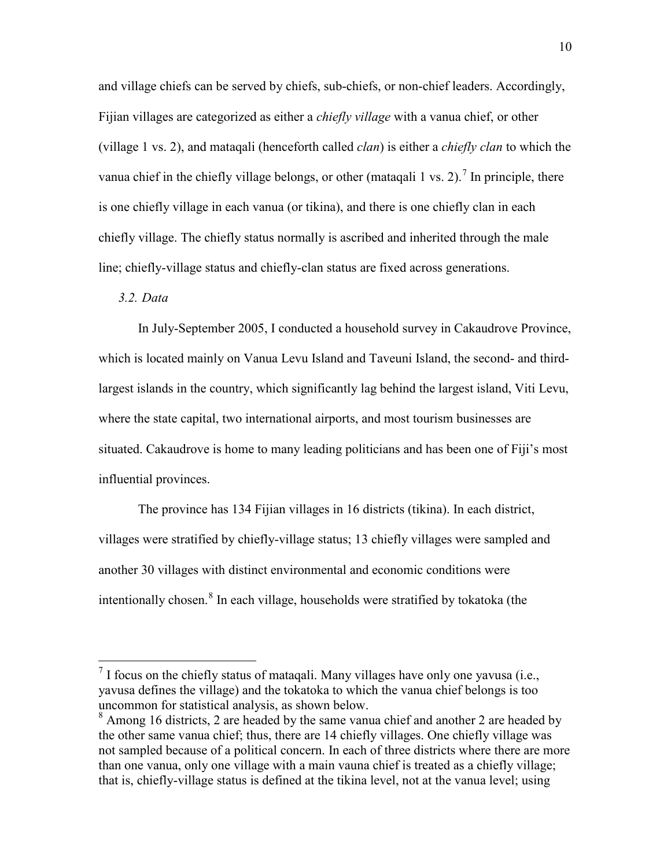and village chiefs can be served by chiefs, sub-chiefs, or non-chief leaders. Accordingly, Fijian villages are categorized as either a *chiefly village* with a vanua chief, or other (village 1 vs. 2), and mataqali (henceforth called *clan*) is either a *chiefly clan* to which the vanua chief in the chiefly village belongs, or other (mataqali 1 vs. 2).<sup>7</sup> In principle, there is one chiefly village in each vanua (or tikina), and there is one chiefly clan in each chiefly village. The chiefly status normally is ascribed and inherited through the male line; chiefly-village status and chiefly-clan status are fixed across generations.

### *3.2. Data*

In July-September 2005, I conducted a household survey in Cakaudrove Province, which is located mainly on Vanua Levu Island and Taveuni Island, the second- and thirdlargest islands in the country, which significantly lag behind the largest island, Viti Levu, where the state capital, two international airports, and most tourism businesses are situated. Cakaudrove is home to many leading politicians and has been one of Fiji's most influential provinces.

The province has 134 Fijian villages in 16 districts (tikina). In each district, villages were stratified by chiefly-village status; 13 chiefly villages were sampled and another 30 villages with distinct environmental and economic conditions were intentionally chosen.<sup>8</sup> In each village, households were stratified by tokatoka (the

 $<sup>7</sup>$  I focus on the chiefly status of mataqali. Many villages have only one yavusa (i.e.,</sup> yavusa defines the village) and the tokatoka to which the vanua chief belongs is too uncommon for statistical analysis, as shown below.

<sup>&</sup>lt;sup>8</sup> Among 16 districts, 2 are headed by the same vanua chief and another 2 are headed by the other same vanua chief; thus, there are 14 chiefly villages. One chiefly village was not sampled because of a political concern. In each of three districts where there are more than one vanua, only one village with a main vauna chief is treated as a chiefly village; that is, chiefly-village status is defined at the tikina level, not at the vanua level; using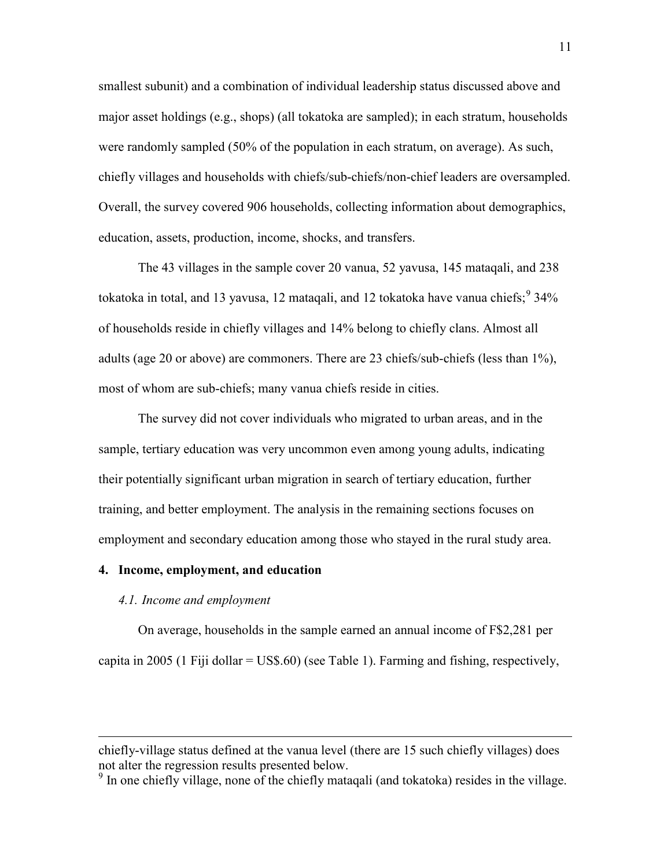smallest subunit) and a combination of individual leadership status discussed above and major asset holdings (e.g., shops) (all tokatoka are sampled); in each stratum, households were randomly sampled (50% of the population in each stratum, on average). As such, chiefly villages and households with chiefs/sub-chiefs/non-chief leaders are oversampled. Overall, the survey covered 906 households, collecting information about demographics, education, assets, production, income, shocks, and transfers.

The 43 villages in the sample cover 20 vanua, 52 yavusa, 145 mataqali, and 238 tokatoka in total, and 13 yavusa, 12 mataqali, and 12 tokatoka have vanua chiefs;  $934\%$ of households reside in chiefly villages and 14% belong to chiefly clans. Almost all adults (age 20 or above) are commoners. There are 23 chiefs/sub-chiefs (less than 1%), most of whom are sub-chiefs; many vanua chiefs reside in cities.

The survey did not cover individuals who migrated to urban areas, and in the sample, tertiary education was very uncommon even among young adults, indicating their potentially significant urban migration in search of tertiary education, further training, and better employment. The analysis in the remaining sections focuses on employment and secondary education among those who stayed in the rural study area.

#### **4. Income, employment, and education**

#### *4.1. Income and employment*

 $\overline{a}$ 

On average, households in the sample earned an annual income of F\$2,281 per capita in 2005 (1 Fiji dollar = US\$.60) (see Table 1). Farming and fishing, respectively,

chiefly-village status defined at the vanua level (there are 15 such chiefly villages) does not alter the regression results presented below.

<sup>&</sup>lt;sup>9</sup> In one chiefly village, none of the chiefly mataqali (and tokatoka) resides in the village.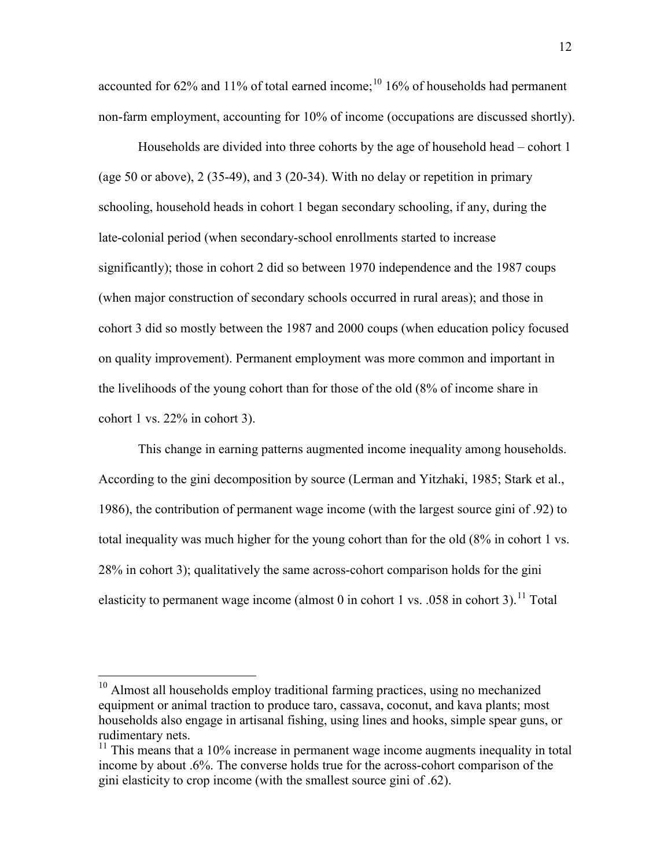accounted for 62% and 11% of total earned income;  $10^{10}$  16% of households had permanent non-farm employment, accounting for 10% of income (occupations are discussed shortly).

Households are divided into three cohorts by the age of household head – cohort 1 (age 50 or above), 2 (35-49), and 3 (20-34). With no delay or repetition in primary schooling, household heads in cohort 1 began secondary schooling, if any, during the late-colonial period (when secondary-school enrollments started to increase significantly); those in cohort 2 did so between 1970 independence and the 1987 coups (when major construction of secondary schools occurred in rural areas); and those in cohort 3 did so mostly between the 1987 and 2000 coups (when education policy focused on quality improvement). Permanent employment was more common and important in the livelihoods of the young cohort than for those of the old (8% of income share in cohort 1 vs. 22% in cohort 3).

This change in earning patterns augmented income inequality among households. According to the gini decomposition by source (Lerman and Yitzhaki, 1985; Stark et al., 1986), the contribution of permanent wage income (with the largest source gini of .92) to total inequality was much higher for the young cohort than for the old (8% in cohort 1 vs. 28% in cohort 3); qualitatively the same across-cohort comparison holds for the gini elasticity to permanent wage income (almost 0 in cohort 1 vs.  $.058$  in cohort 3).<sup>11</sup> Total

<sup>&</sup>lt;sup>10</sup> Almost all households employ traditional farming practices, using no mechanized equipment or animal traction to produce taro, cassava, coconut, and kava plants; most households also engage in artisanal fishing, using lines and hooks, simple spear guns, or rudimentary nets.

 $11$  This means that a 10% increase in permanent wage income augments inequality in total income by about .6%. The converse holds true for the across-cohort comparison of the gini elasticity to crop income (with the smallest source gini of .62).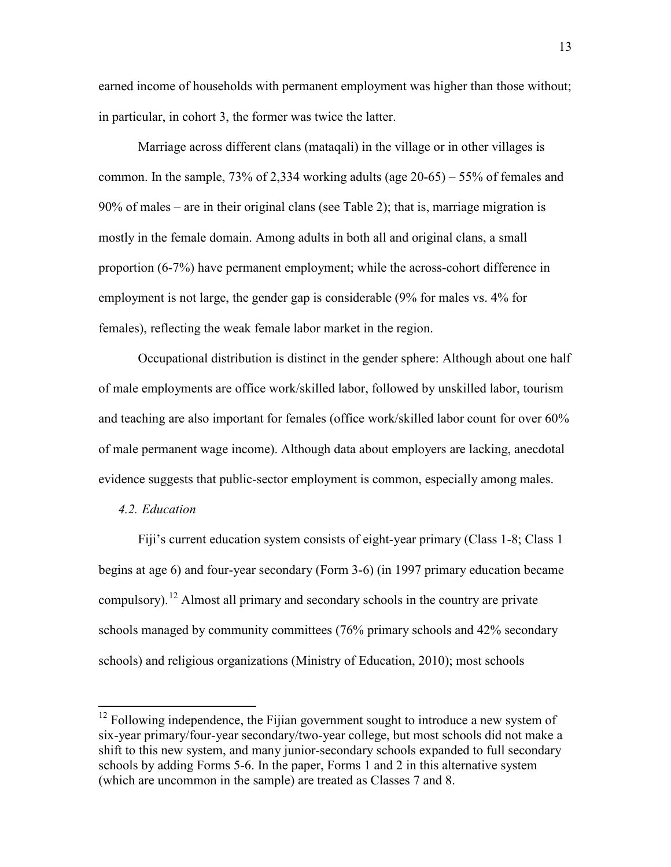earned income of households with permanent employment was higher than those without; in particular, in cohort 3, the former was twice the latter.

Marriage across different clans (mataqali) in the village or in other villages is common. In the sample, 73% of 2,334 working adults (age 20-65) – 55% of females and 90% of males – are in their original clans (see Table 2); that is, marriage migration is mostly in the female domain. Among adults in both all and original clans, a small proportion (6-7%) have permanent employment; while the across-cohort difference in employment is not large, the gender gap is considerable (9% for males vs. 4% for females), reflecting the weak female labor market in the region.

Occupational distribution is distinct in the gender sphere: Although about one half of male employments are office work/skilled labor, followed by unskilled labor, tourism and teaching are also important for females (office work/skilled labor count for over 60% of male permanent wage income). Although data about employers are lacking, anecdotal evidence suggests that public-sector employment is common, especially among males.

#### *4.2. Education*

Fiji's current education system consists of eight-year primary (Class 1-8; Class 1 begins at age 6) and four-year secondary (Form 3-6) (in 1997 primary education became compulsory).<sup>12</sup> Almost all primary and secondary schools in the country are private schools managed by community committees (76% primary schools and 42% secondary schools) and religious organizations (Ministry of Education, 2010); most schools

<sup>&</sup>lt;sup>12</sup> Following independence, the Fijian government sought to introduce a new system of six-year primary/four-year secondary/two-year college, but most schools did not make a shift to this new system, and many junior-secondary schools expanded to full secondary schools by adding Forms 5-6. In the paper, Forms 1 and 2 in this alternative system (which are uncommon in the sample) are treated as Classes 7 and 8.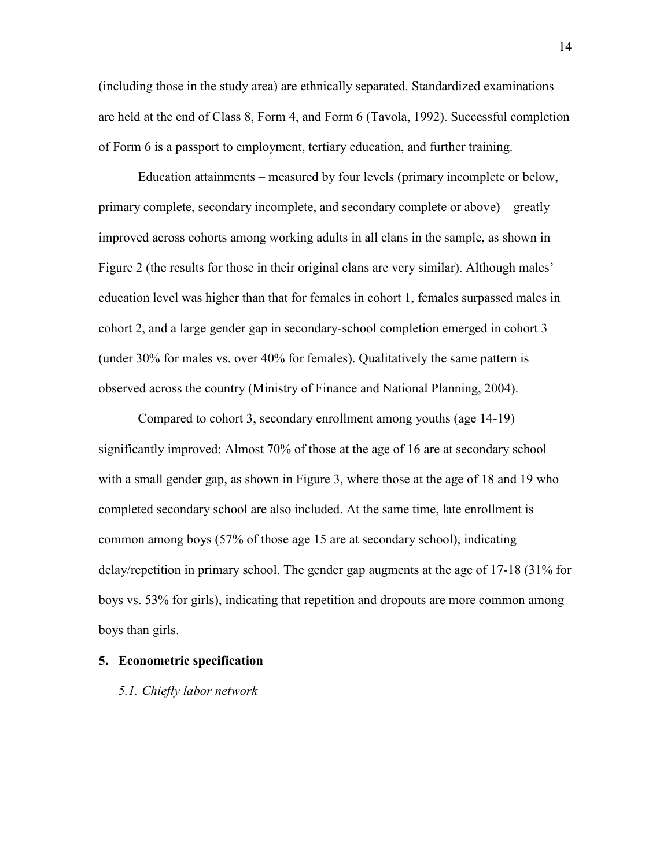(including those in the study area) are ethnically separated. Standardized examinations are held at the end of Class 8, Form 4, and Form 6 (Tavola, 1992). Successful completion of Form 6 is a passport to employment, tertiary education, and further training.

Education attainments – measured by four levels (primary incomplete or below, primary complete, secondary incomplete, and secondary complete or above) – greatly improved across cohorts among working adults in all clans in the sample, as shown in Figure 2 (the results for those in their original clans are very similar). Although males' education level was higher than that for females in cohort 1, females surpassed males in cohort 2, and a large gender gap in secondary-school completion emerged in cohort 3 (under 30% for males vs. over 40% for females). Qualitatively the same pattern is observed across the country (Ministry of Finance and National Planning, 2004).

Compared to cohort 3, secondary enrollment among youths (age 14-19) significantly improved: Almost 70% of those at the age of 16 are at secondary school with a small gender gap, as shown in Figure 3, where those at the age of 18 and 19 who completed secondary school are also included. At the same time, late enrollment is common among boys (57% of those age 15 are at secondary school), indicating delay/repetition in primary school. The gender gap augments at the age of 17-18 (31% for boys vs. 53% for girls), indicating that repetition and dropouts are more common among boys than girls.

### **5. Econometric specification**

#### *5.1. Chiefly labor network*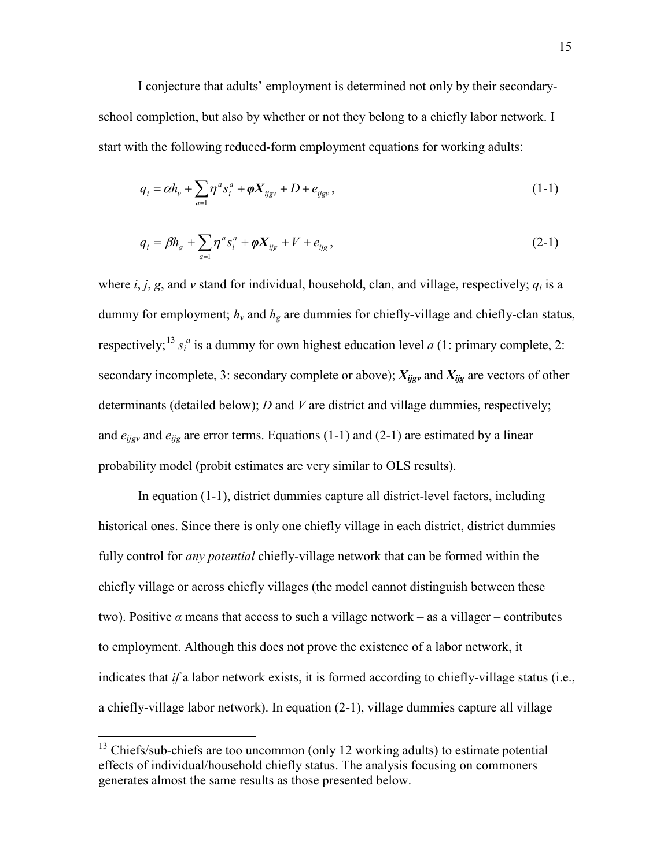I conjecture that adults' employment is determined not only by their secondaryschool completion, but also by whether or not they belong to a chiefly labor network. I start with the following reduced-form employment equations for working adults:

$$
q_{i} = \alpha h_{v} + \sum_{a=1} \eta^{a} s_{i}^{a} + \varphi X_{ijgy} + D + e_{ijgy}, \qquad (1-1)
$$

$$
q_i = \beta h_g + \sum_{a=1}^{\infty} \eta^a s_i^a + \varphi X_{ijg} + V + e_{ijg} , \qquad (2-1)
$$

where  $i, j, g$ , and  $v$  stand for individual, household, clan, and village, respectively;  $q_i$  is a dummy for employment;  $h<sub>v</sub>$  and  $h<sub>g</sub>$  are dummies for chiefly-village and chiefly-clan status, respectively;<sup>13</sup>  $s_i^a$  is a dummy for own highest education level *a* (1: primary complete, 2: secondary incomplete, 3: secondary complete or above); *Xijgv* and *Xijg* are vectors of other determinants (detailed below); *D* and *V* are district and village dummies, respectively; and  $e_{ijgy}$  and  $e_{ijg}$  are error terms. Equations (1-1) and (2-1) are estimated by a linear probability model (probit estimates are very similar to OLS results).

In equation (1-1), district dummies capture all district-level factors, including historical ones. Since there is only one chiefly village in each district, district dummies fully control for *any potential* chiefly-village network that can be formed within the chiefly village or across chiefly villages (the model cannot distinguish between these two). Positive  $\alpha$  means that access to such a village network – as a villager – contributes to employment. Although this does not prove the existence of a labor network, it indicates that *if* a labor network exists, it is formed according to chiefly-village status (i.e., a chiefly-village labor network). In equation (2-1), village dummies capture all village

 $13$  Chiefs/sub-chiefs are too uncommon (only 12 working adults) to estimate potential effects of individual/household chiefly status. The analysis focusing on commoners generates almost the same results as those presented below.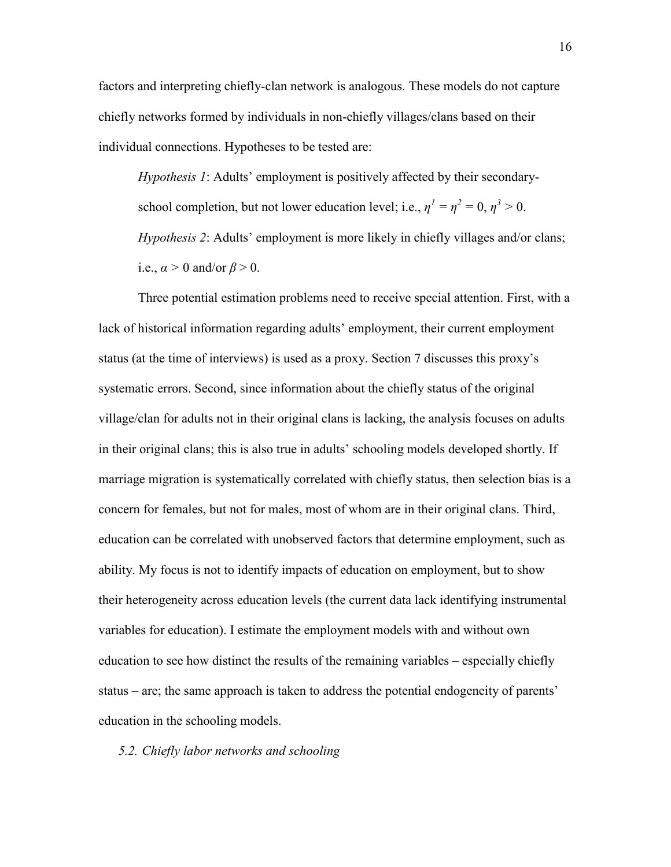factors and interpreting chiefly-clan network is analogous. These models do not capture chiefly networks formed by individuals in non-chiefly villages/clans based on their individual connections. Hypotheses to be tested are:

*Hypothesis 1*: Adults' employment is positively affected by their secondaryschool completion, but not lower education level; i.e.,  $\eta^1 = \eta^2 = 0$ ,  $\eta^3 > 0$ . *Hypothesis 2*: Adults' employment is more likely in chiefly villages and/or clans; i.e.,  $\alpha > 0$  and/or  $\beta > 0$ .

Three potential estimation problems need to receive special attention. First, with a lack of historical information regarding adults' employment, their current employment status (at the time of interviews) is used as a proxy. Section 7 discusses this proxy's systematic errors. Second, since information about the chiefly status of the original village/clan for adults not in their original clans is lacking, the analysis focuses on adults in their original clans; this is also true in adults' schooling models developed shortly. If marriage migration is systematically correlated with chiefly status, then selection bias is a concern for females, but not for males, most of whom are in their original clans. Third, education can be correlated with unobserved factors that determine employment, such as ability. My focus is not to identify impacts of education on employment, but to show their heterogeneity across education levels (the current data lack identifying instrumental variables for education). I estimate the employment models with and without own education to see how distinct the results of the remaining variables – especially chiefly status – are; the same approach is taken to address the potential endogeneity of parents' education in the schooling models.

#### *5.2. Chiefly labor networks and schooling*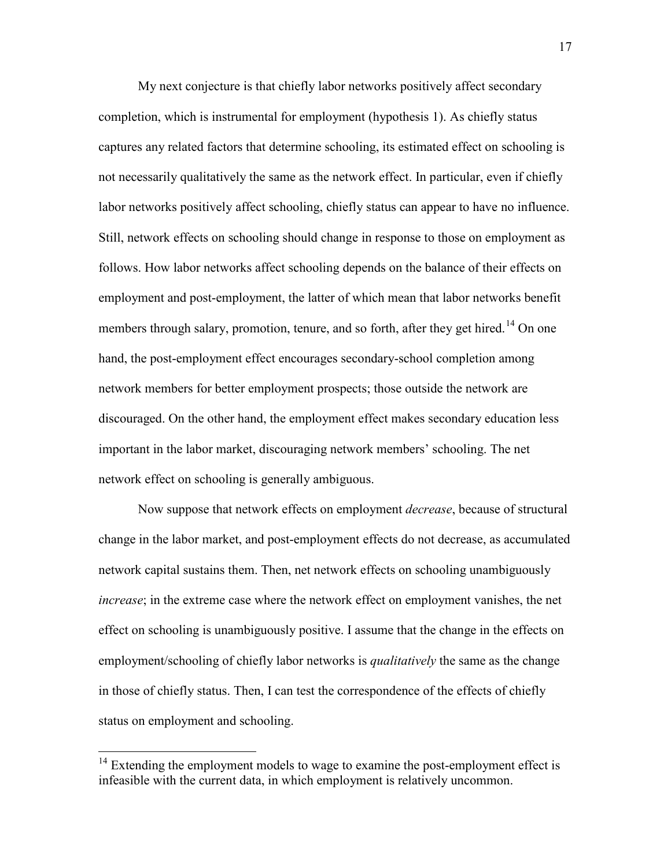My next conjecture is that chiefly labor networks positively affect secondary completion, which is instrumental for employment (hypothesis 1). As chiefly status captures any related factors that determine schooling, its estimated effect on schooling is not necessarily qualitatively the same as the network effect. In particular, even if chiefly labor networks positively affect schooling, chiefly status can appear to have no influence. Still, network effects on schooling should change in response to those on employment as follows. How labor networks affect schooling depends on the balance of their effects on employment and post-employment, the latter of which mean that labor networks benefit members through salary, promotion, tenure, and so forth, after they get hired.<sup>14</sup> On one hand, the post-employment effect encourages secondary-school completion among network members for better employment prospects; those outside the network are discouraged. On the other hand, the employment effect makes secondary education less important in the labor market, discouraging network members' schooling. The net network effect on schooling is generally ambiguous.

Now suppose that network effects on employment *decrease*, because of structural change in the labor market, and post-employment effects do not decrease, as accumulated network capital sustains them. Then, net network effects on schooling unambiguously *increase*; in the extreme case where the network effect on employment vanishes, the net effect on schooling is unambiguously positive. I assume that the change in the effects on employment/schooling of chiefly labor networks is *qualitatively* the same as the change in those of chiefly status. Then, I can test the correspondence of the effects of chiefly status on employment and schooling.

<sup>&</sup>lt;sup>14</sup> Extending the employment models to wage to examine the post-employment effect is infeasible with the current data, in which employment is relatively uncommon.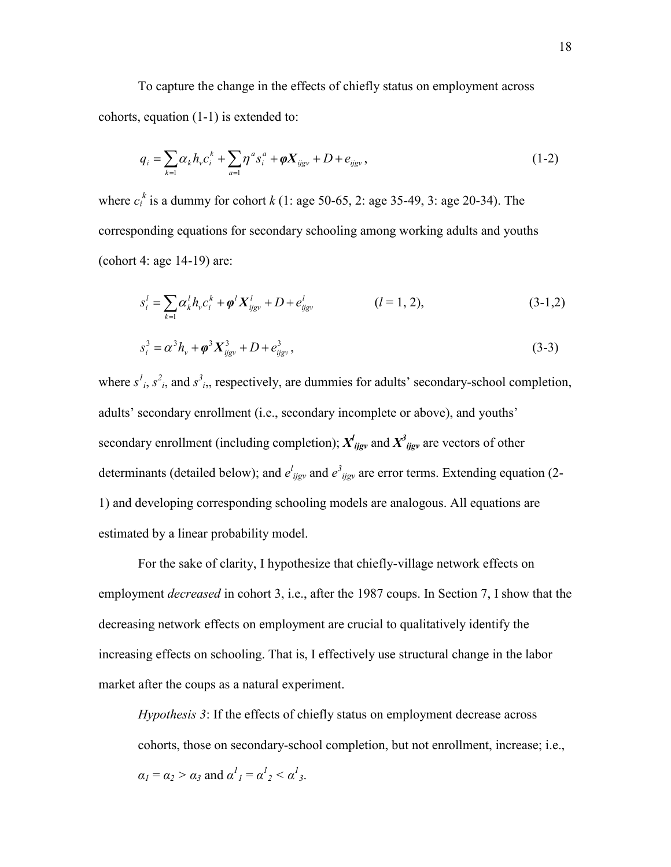To capture the change in the effects of chiefly status on employment across cohorts, equation (1-1) is extended to:

$$
q_{i} = \sum_{k=1} \alpha_{k} h_{v} c_{i}^{k} + \sum_{a=1} \eta^{a} s_{i}^{a} + \varphi X_{ijgy} + D + e_{ijgy}, \qquad (1-2)
$$

where  $c_i^k$  is a dummy for cohort  $k$  (1: age 50-65, 2: age 35-49, 3: age 20-34). The corresponding equations for secondary schooling among working adults and youths (cohort 4: age 14-19) are:

$$
s_i^l = \sum_{k=1} \alpha_k^l h_v c_i^k + \phi^l X_{ijgv}^l + D + e_{ijgv}^l \qquad (l = 1, 2),
$$
 (3-1,2)

$$
s_i^3 = \alpha^3 h_v + \varphi^3 X_{ijgy}^3 + D + e_{ijgy}^3, \qquad (3-3)
$$

where  $s^l_i$ ,  $s^2_i$ , and  $s^3_i$ , respectively, are dummies for adults' secondary-school completion, adults' secondary enrollment (i.e., secondary incomplete or above), and youths' secondary enrollment (including completion);  $X^l_{ijgv}$  and  $X^3_{ijgv}$  are vectors of other determinants (detailed below); and  $e^{l}{}_{ijgv}$  and  $e^{3}{}_{ijgv}$  are error terms. Extending equation (2-1) and developing corresponding schooling models are analogous. All equations are estimated by a linear probability model.

For the sake of clarity, I hypothesize that chiefly-village network effects on employment *decreased* in cohort 3, i.e., after the 1987 coups. In Section 7, I show that the decreasing network effects on employment are crucial to qualitatively identify the increasing effects on schooling. That is, I effectively use structural change in the labor market after the coups as a natural experiment.

*Hypothesis 3*: If the effects of chiefly status on employment decrease across cohorts, those on secondary-school completion, but not enrollment, increase; i.e.,  $\alpha_1 = \alpha_2 > \alpha_3$  and  $\alpha_1^1 = \alpha_2^1 < \alpha_3^1$ .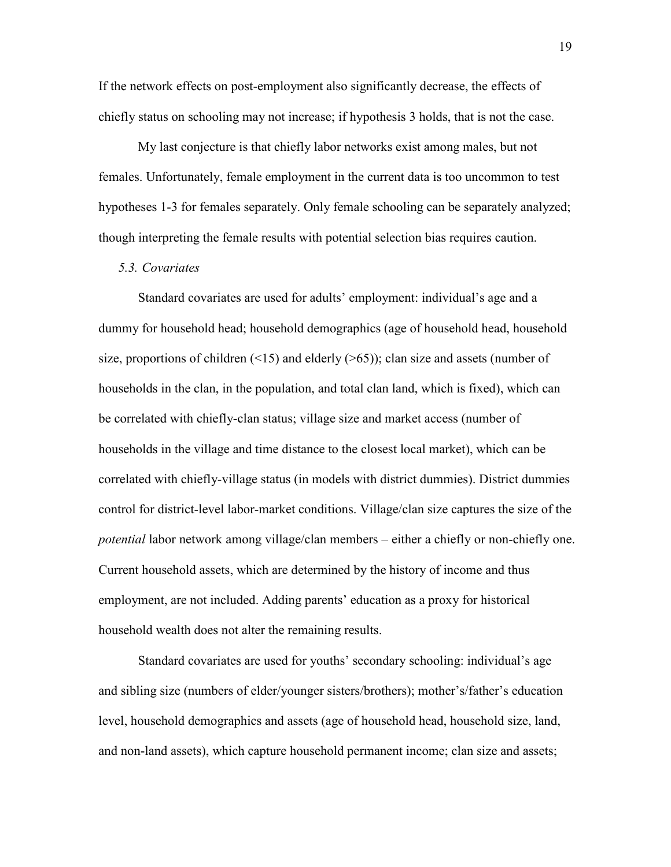If the network effects on post-employment also significantly decrease, the effects of chiefly status on schooling may not increase; if hypothesis 3 holds, that is not the case.

My last conjecture is that chiefly labor networks exist among males, but not females. Unfortunately, female employment in the current data is too uncommon to test hypotheses 1-3 for females separately. Only female schooling can be separately analyzed; though interpreting the female results with potential selection bias requires caution.

#### *5.3. Covariates*

Standard covariates are used for adults' employment: individual's age and a dummy for household head; household demographics (age of household head, household size, proportions of children  $(\leq 15)$  and elderly  $(\geq 65)$ ; clan size and assets (number of households in the clan, in the population, and total clan land, which is fixed), which can be correlated with chiefly-clan status; village size and market access (number of households in the village and time distance to the closest local market), which can be correlated with chiefly-village status (in models with district dummies). District dummies control for district-level labor-market conditions. Village/clan size captures the size of the *potential* labor network among village/clan members – either a chiefly or non-chiefly one. Current household assets, which are determined by the history of income and thus employment, are not included. Adding parents' education as a proxy for historical household wealth does not alter the remaining results.

Standard covariates are used for youths' secondary schooling: individual's age and sibling size (numbers of elder/younger sisters/brothers); mother's/father's education level, household demographics and assets (age of household head, household size, land, and non-land assets), which capture household permanent income; clan size and assets;

19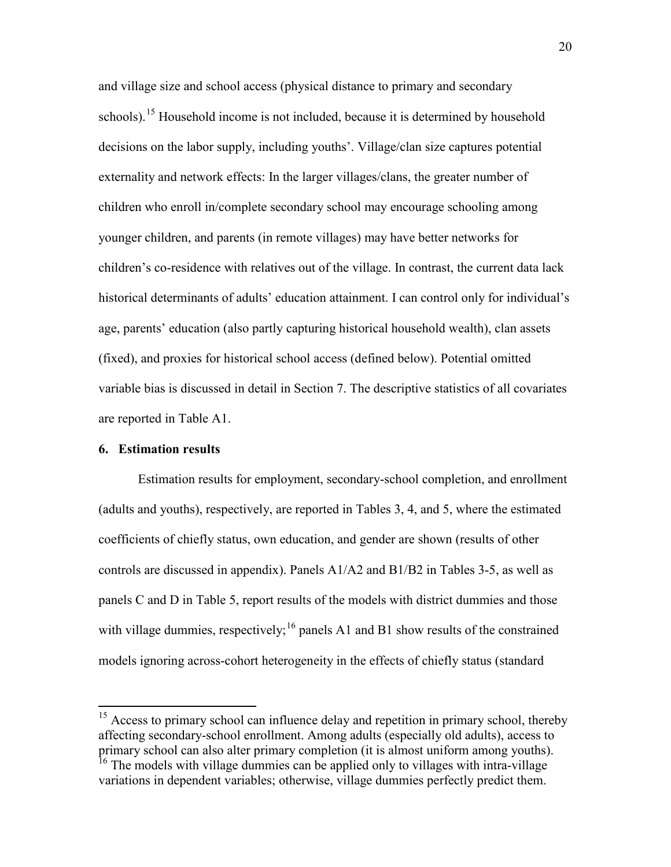and village size and school access (physical distance to primary and secondary schools).<sup>15</sup> Household income is not included, because it is determined by household decisions on the labor supply, including youths'. Village/clan size captures potential externality and network effects: In the larger villages/clans, the greater number of children who enroll in/complete secondary school may encourage schooling among younger children, and parents (in remote villages) may have better networks for children's co-residence with relatives out of the village. In contrast, the current data lack historical determinants of adults' education attainment. I can control only for individual's age, parents' education (also partly capturing historical household wealth), clan assets (fixed), and proxies for historical school access (defined below). Potential omitted variable bias is discussed in detail in Section 7. The descriptive statistics of all covariates are reported in Table A1.

#### **6. Estimation results**

Estimation results for employment, secondary-school completion, and enrollment (adults and youths), respectively, are reported in Tables 3, 4, and 5, where the estimated coefficients of chiefly status, own education, and gender are shown (results of other controls are discussed in appendix). Panels A1/A2 and B1/B2 in Tables 3-5, as well as panels C and D in Table 5, report results of the models with district dummies and those with village dummies, respectively;  $^{16}$  panels A1 and B1 show results of the constrained models ignoring across-cohort heterogeneity in the effects of chiefly status (standard

<sup>&</sup>lt;sup>15</sup> Access to primary school can influence delay and repetition in primary school, thereby affecting secondary-school enrollment. Among adults (especially old adults), access to primary school can also alter primary completion (it is almost uniform among youths).

<sup>&</sup>lt;sup>16</sup> The models with village dummies can be applied only to villages with intra-village variations in dependent variables; otherwise, village dummies perfectly predict them.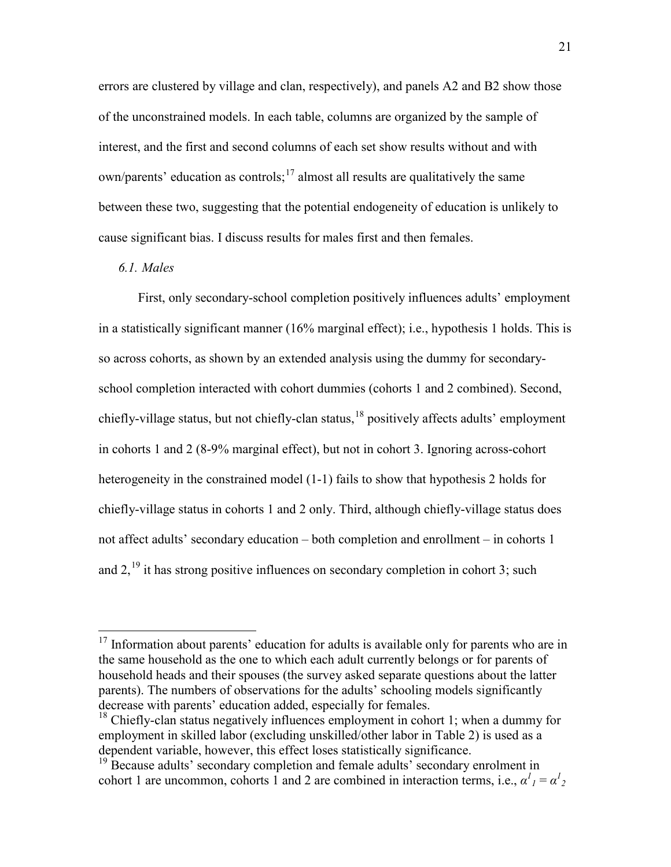errors are clustered by village and clan, respectively), and panels A2 and B2 show those of the unconstrained models. In each table, columns are organized by the sample of interest, and the first and second columns of each set show results without and with  $own/parents'$  education as controls;  $\frac{17}{17}$  almost all results are qualitatively the same between these two, suggesting that the potential endogeneity of education is unlikely to cause significant bias. I discuss results for males first and then females.

# *6.1. Males*

First, only secondary-school completion positively influences adults' employment in a statistically significant manner (16% marginal effect); i.e., hypothesis 1 holds. This is so across cohorts, as shown by an extended analysis using the dummy for secondaryschool completion interacted with cohort dummies (cohorts 1 and 2 combined). Second, chiefly-village status, but not chiefly-clan status,  $^{18}$  positively affects adults' employment in cohorts 1 and 2 (8-9% marginal effect), but not in cohort 3. Ignoring across-cohort heterogeneity in the constrained model (1-1) fails to show that hypothesis 2 holds for chiefly-village status in cohorts 1 and 2 only. Third, although chiefly-village status does not affect adults' secondary education – both completion and enrollment – in cohorts 1 and  $2$ ,  $^{19}$  it has strong positive influences on secondary completion in cohort 3; such

<sup>&</sup>lt;sup>17</sup> Information about parents' education for adults is available only for parents who are in the same household as the one to which each adult currently belongs or for parents of household heads and their spouses (the survey asked separate questions about the latter parents). The numbers of observations for the adults' schooling models significantly decrease with parents' education added, especially for females.

 $18$  Chiefly-clan status negatively influences employment in cohort 1; when a dummy for employment in skilled labor (excluding unskilled/other labor in Table 2) is used as a dependent variable, however, this effect loses statistically significance. 19 Because adults' secondary completion and female adults' secondary enrolment in

cohort 1 are uncommon, cohorts 1 and 2 are combined in interaction terms, i.e.,  $\alpha^l{}_l = \alpha^l{}_2$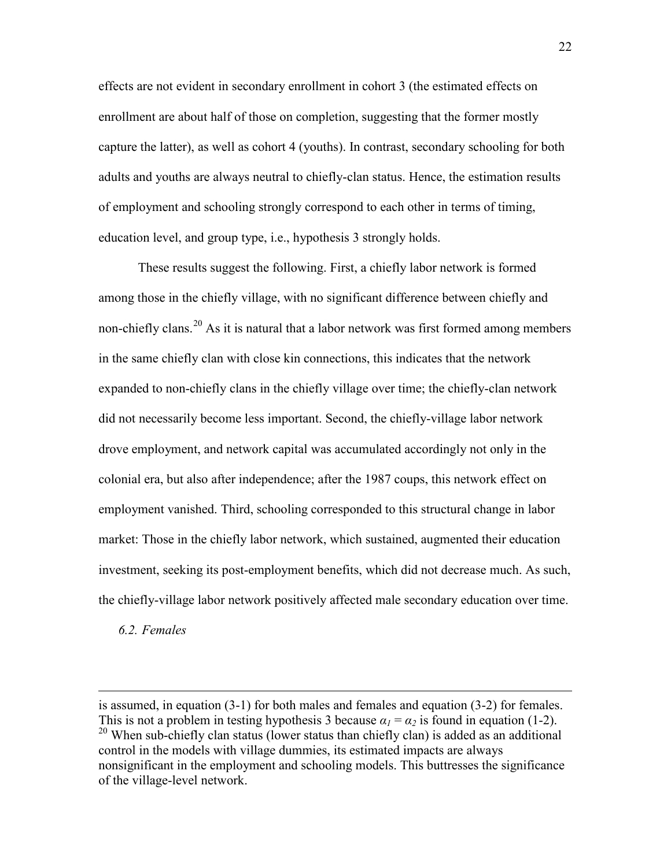effects are not evident in secondary enrollment in cohort 3 (the estimated effects on enrollment are about half of those on completion, suggesting that the former mostly capture the latter), as well as cohort 4 (youths). In contrast, secondary schooling for both adults and youths are always neutral to chiefly-clan status. Hence, the estimation results of employment and schooling strongly correspond to each other in terms of timing, education level, and group type, i.e., hypothesis 3 strongly holds.

These results suggest the following. First, a chiefly labor network is formed among those in the chiefly village, with no significant difference between chiefly and non-chiefly clans.<sup>20</sup> As it is natural that a labor network was first formed among members in the same chiefly clan with close kin connections, this indicates that the network expanded to non-chiefly clans in the chiefly village over time; the chiefly-clan network did not necessarily become less important. Second, the chiefly-village labor network drove employment, and network capital was accumulated accordingly not only in the colonial era, but also after independence; after the 1987 coups, this network effect on employment vanished. Third, schooling corresponded to this structural change in labor market: Those in the chiefly labor network, which sustained, augmented their education investment, seeking its post-employment benefits, which did not decrease much. As such, the chiefly-village labor network positively affected male secondary education over time.

*6.2. Females*

 $\overline{a}$ 

is assumed, in equation (3-1) for both males and females and equation (3-2) for females. This is not a problem in testing hypothesis 3 because  $\alpha_1 = \alpha_2$  is found in equation (1-2). <sup>20</sup> When sub-chiefly clan status (lower status than chiefly clan) is added as an additional control in the models with village dummies, its estimated impacts are always nonsignificant in the employment and schooling models. This buttresses the significance of the village-level network.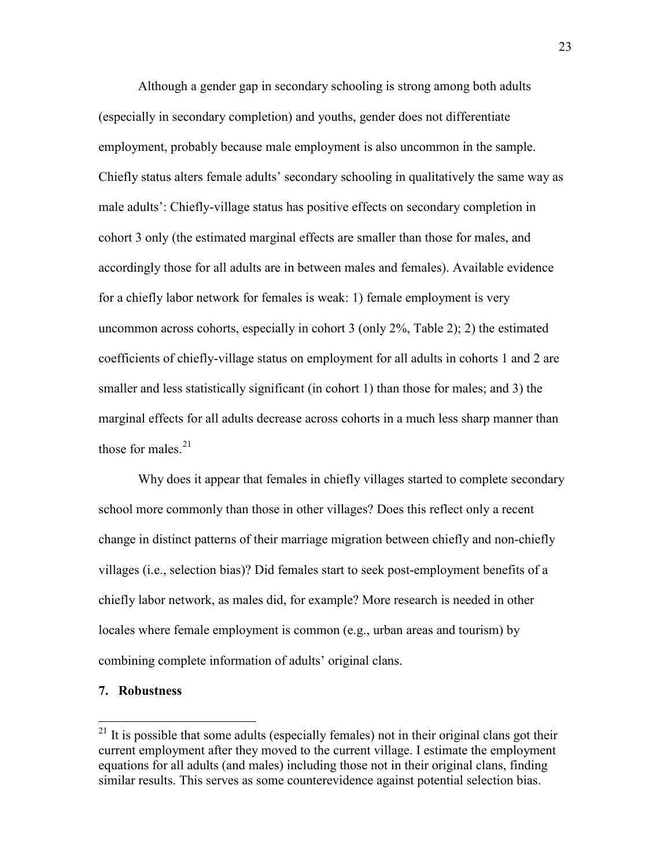Although a gender gap in secondary schooling is strong among both adults (especially in secondary completion) and youths, gender does not differentiate employment, probably because male employment is also uncommon in the sample. Chiefly status alters female adults' secondary schooling in qualitatively the same way as male adults': Chiefly-village status has positive effects on secondary completion in cohort 3 only (the estimated marginal effects are smaller than those for males, and accordingly those for all adults are in between males and females). Available evidence for a chiefly labor network for females is weak: 1) female employment is very uncommon across cohorts, especially in cohort 3 (only 2%, Table 2); 2) the estimated coefficients of chiefly-village status on employment for all adults in cohorts 1 and 2 are smaller and less statistically significant (in cohort 1) than those for males; and 3) the marginal effects for all adults decrease across cohorts in a much less sharp manner than those for males. $21$ 

Why does it appear that females in chiefly villages started to complete secondary school more commonly than those in other villages? Does this reflect only a recent change in distinct patterns of their marriage migration between chiefly and non-chiefly villages (i.e., selection bias)? Did females start to seek post-employment benefits of a chiefly labor network, as males did, for example? More research is needed in other locales where female employment is common (e.g., urban areas and tourism) by combining complete information of adults' original clans.

#### **7. Robustness**

 $21$  It is possible that some adults (especially females) not in their original clans got their current employment after they moved to the current village. I estimate the employment equations for all adults (and males) including those not in their original clans, finding similar results. This serves as some counterevidence against potential selection bias.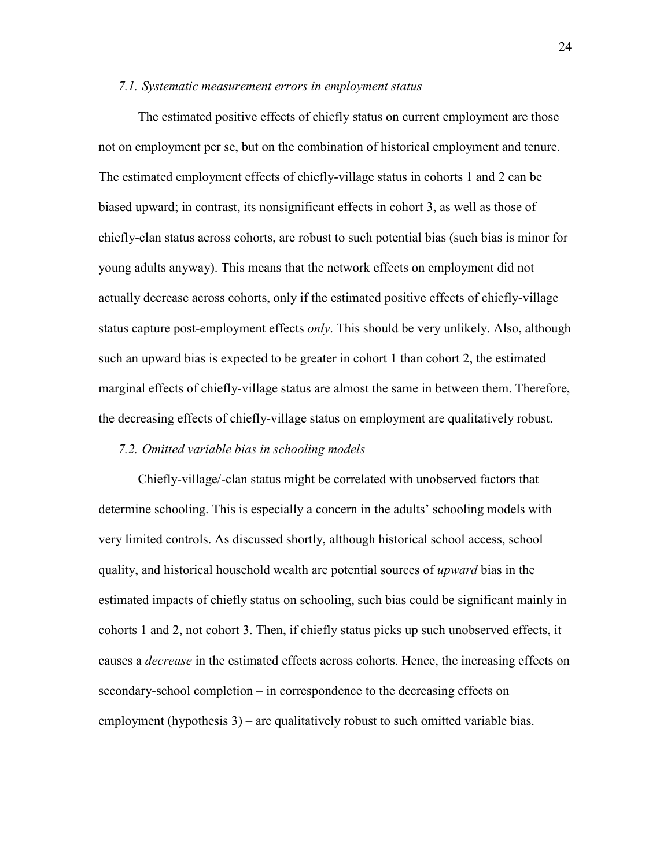#### *7.1. Systematic measurement errors in employment status*

The estimated positive effects of chiefly status on current employment are those not on employment per se, but on the combination of historical employment and tenure. The estimated employment effects of chiefly-village status in cohorts 1 and 2 can be biased upward; in contrast, its nonsignificant effects in cohort 3, as well as those of chiefly-clan status across cohorts, are robust to such potential bias (such bias is minor for young adults anyway). This means that the network effects on employment did not actually decrease across cohorts, only if the estimated positive effects of chiefly-village status capture post-employment effects *only*. This should be very unlikely. Also, although such an upward bias is expected to be greater in cohort 1 than cohort 2, the estimated marginal effects of chiefly-village status are almost the same in between them. Therefore, the decreasing effects of chiefly-village status on employment are qualitatively robust.

#### *7.2. Omitted variable bias in schooling models*

Chiefly-village/-clan status might be correlated with unobserved factors that determine schooling. This is especially a concern in the adults' schooling models with very limited controls. As discussed shortly, although historical school access, school quality, and historical household wealth are potential sources of *upward* bias in the estimated impacts of chiefly status on schooling, such bias could be significant mainly in cohorts 1 and 2, not cohort 3. Then, if chiefly status picks up such unobserved effects, it causes a *decrease* in the estimated effects across cohorts. Hence, the increasing effects on secondary-school completion – in correspondence to the decreasing effects on employment (hypothesis 3) – are qualitatively robust to such omitted variable bias.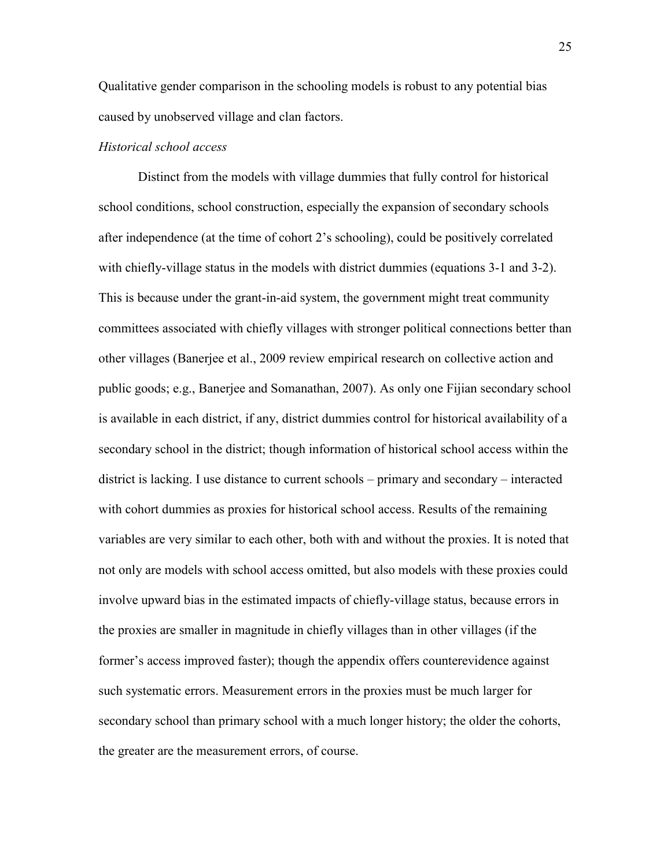Qualitative gender comparison in the schooling models is robust to any potential bias caused by unobserved village and clan factors.

#### *Historical school access*

Distinct from the models with village dummies that fully control for historical school conditions, school construction, especially the expansion of secondary schools after independence (at the time of cohort 2's schooling), could be positively correlated with chiefly-village status in the models with district dummies (equations 3-1 and 3-2). This is because under the grant-in-aid system, the government might treat community committees associated with chiefly villages with stronger political connections better than other villages (Banerjee et al., 2009 review empirical research on collective action and public goods; e.g., Banerjee and Somanathan, 2007). As only one Fijian secondary school is available in each district, if any, district dummies control for historical availability of a secondary school in the district; though information of historical school access within the district is lacking. I use distance to current schools – primary and secondary – interacted with cohort dummies as proxies for historical school access. Results of the remaining variables are very similar to each other, both with and without the proxies. It is noted that not only are models with school access omitted, but also models with these proxies could involve upward bias in the estimated impacts of chiefly-village status, because errors in the proxies are smaller in magnitude in chiefly villages than in other villages (if the former's access improved faster); though the appendix offers counterevidence against such systematic errors. Measurement errors in the proxies must be much larger for secondary school than primary school with a much longer history; the older the cohorts, the greater are the measurement errors, of course.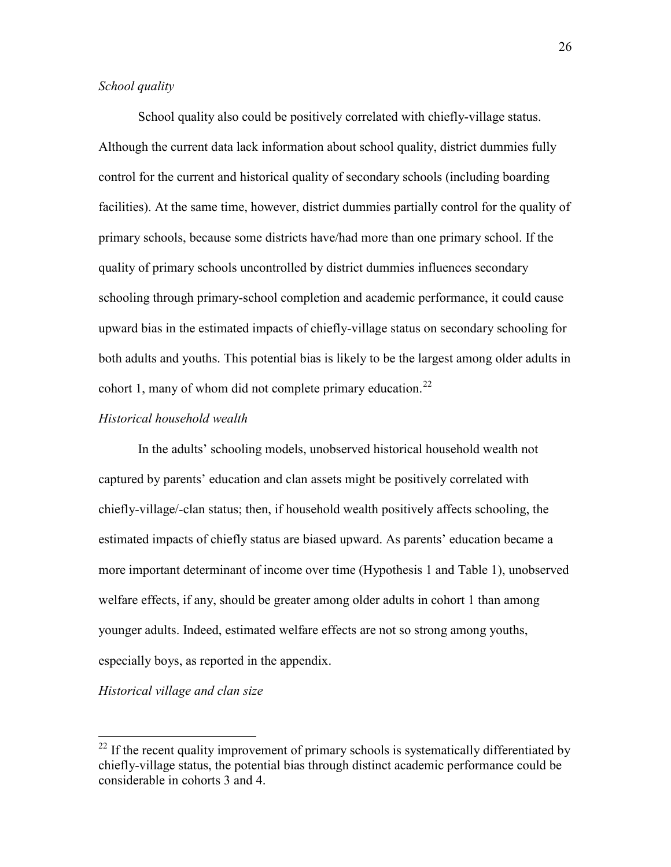# *School quality*

School quality also could be positively correlated with chiefly-village status. Although the current data lack information about school quality, district dummies fully control for the current and historical quality of secondary schools (including boarding facilities). At the same time, however, district dummies partially control for the quality of primary schools, because some districts have/had more than one primary school. If the quality of primary schools uncontrolled by district dummies influences secondary schooling through primary-school completion and academic performance, it could cause upward bias in the estimated impacts of chiefly-village status on secondary schooling for both adults and youths. This potential bias is likely to be the largest among older adults in cohort 1, many of whom did not complete primary education.<sup>22</sup>

## *Historical household wealth*

In the adults' schooling models, unobserved historical household wealth not captured by parents' education and clan assets might be positively correlated with chiefly-village/-clan status; then, if household wealth positively affects schooling, the estimated impacts of chiefly status are biased upward. As parents' education became a more important determinant of income over time (Hypothesis 1 and Table 1), unobserved welfare effects, if any, should be greater among older adults in cohort 1 than among younger adults. Indeed, estimated welfare effects are not so strong among youths, especially boys, as reported in the appendix.

*Historical village and clan size*

 $22$  If the recent quality improvement of primary schools is systematically differentiated by chiefly-village status, the potential bias through distinct academic performance could be considerable in cohorts 3 and 4.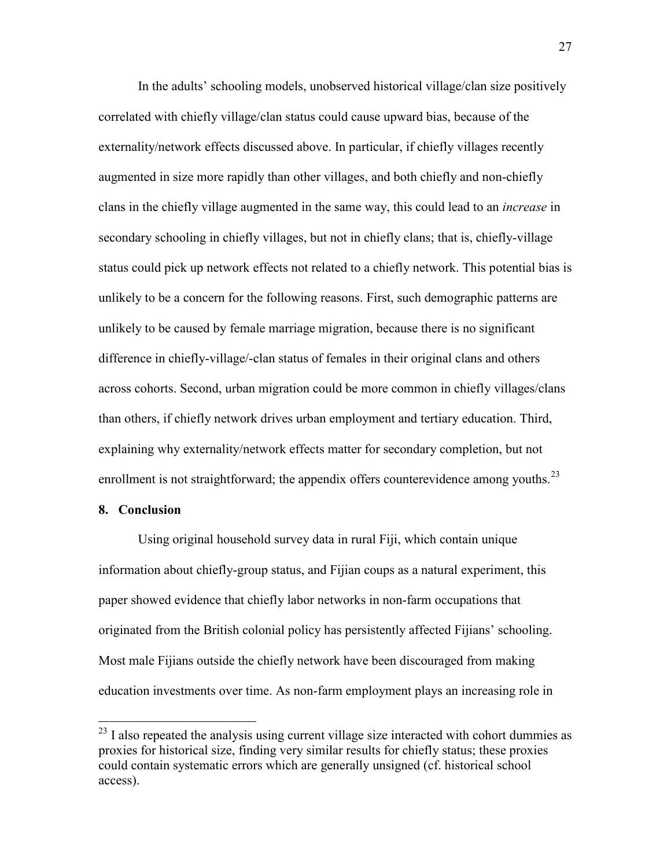In the adults' schooling models, unobserved historical village/clan size positively correlated with chiefly village/clan status could cause upward bias, because of the externality/network effects discussed above. In particular, if chiefly villages recently augmented in size more rapidly than other villages, and both chiefly and non-chiefly clans in the chiefly village augmented in the same way, this could lead to an *increase* in secondary schooling in chiefly villages, but not in chiefly clans; that is, chiefly-village status could pick up network effects not related to a chiefly network. This potential bias is unlikely to be a concern for the following reasons. First, such demographic patterns are unlikely to be caused by female marriage migration, because there is no significant difference in chiefly-village/-clan status of females in their original clans and others across cohorts. Second, urban migration could be more common in chiefly villages/clans than others, if chiefly network drives urban employment and tertiary education. Third, explaining why externality/network effects matter for secondary completion, but not enrollment is not straightforward; the appendix offers counterevidence among youths.<sup>23</sup>

#### **8. Conclusion**

Using original household survey data in rural Fiji, which contain unique information about chiefly-group status, and Fijian coups as a natural experiment, this paper showed evidence that chiefly labor networks in non-farm occupations that originated from the British colonial policy has persistently affected Fijians' schooling. Most male Fijians outside the chiefly network have been discouraged from making education investments over time. As non-farm employment plays an increasing role in

 $23$  I also repeated the analysis using current village size interacted with cohort dummies as proxies for historical size, finding very similar results for chiefly status; these proxies could contain systematic errors which are generally unsigned (cf. historical school access).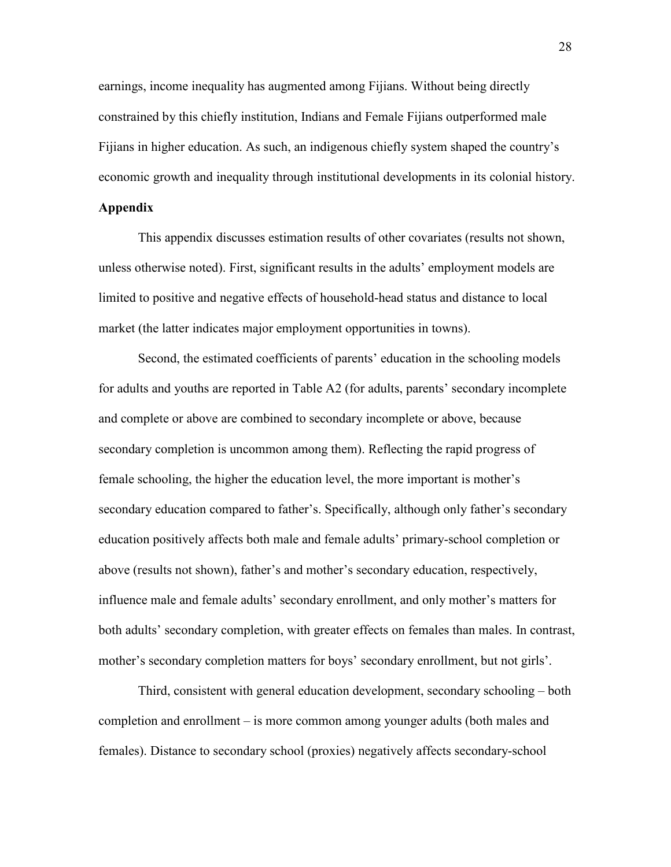earnings, income inequality has augmented among Fijians. Without being directly constrained by this chiefly institution, Indians and Female Fijians outperformed male Fijians in higher education. As such, an indigenous chiefly system shaped the country's economic growth and inequality through institutional developments in its colonial history.

# **Appendix**

This appendix discusses estimation results of other covariates (results not shown, unless otherwise noted). First, significant results in the adults' employment models are limited to positive and negative effects of household-head status and distance to local market (the latter indicates major employment opportunities in towns).

Second, the estimated coefficients of parents' education in the schooling models for adults and youths are reported in Table A2 (for adults, parents' secondary incomplete and complete or above are combined to secondary incomplete or above, because secondary completion is uncommon among them). Reflecting the rapid progress of female schooling, the higher the education level, the more important is mother's secondary education compared to father's. Specifically, although only father's secondary education positively affects both male and female adults' primary-school completion or above (results not shown), father's and mother's secondary education, respectively, influence male and female adults' secondary enrollment, and only mother's matters for both adults' secondary completion, with greater effects on females than males. In contrast, mother's secondary completion matters for boys' secondary enrollment, but not girls'.

Third, consistent with general education development, secondary schooling – both completion and enrollment – is more common among younger adults (both males and females). Distance to secondary school (proxies) negatively affects secondary-school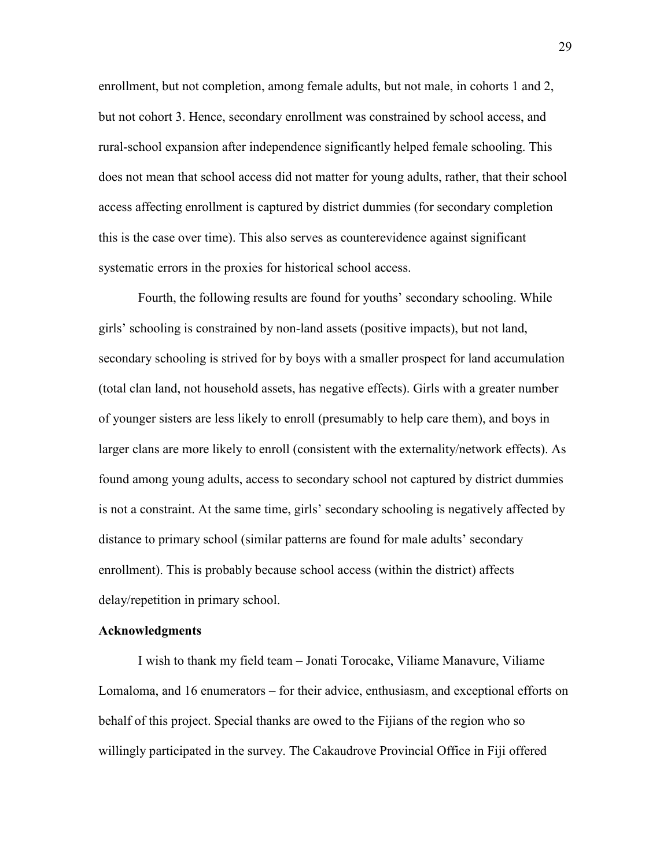enrollment, but not completion, among female adults, but not male, in cohorts 1 and 2, but not cohort 3. Hence, secondary enrollment was constrained by school access, and rural-school expansion after independence significantly helped female schooling. This does not mean that school access did not matter for young adults, rather, that their school access affecting enrollment is captured by district dummies (for secondary completion this is the case over time). This also serves as counterevidence against significant systematic errors in the proxies for historical school access.

Fourth, the following results are found for youths' secondary schooling. While girls' schooling is constrained by non-land assets (positive impacts), but not land, secondary schooling is strived for by boys with a smaller prospect for land accumulation (total clan land, not household assets, has negative effects). Girls with a greater number of younger sisters are less likely to enroll (presumably to help care them), and boys in larger clans are more likely to enroll (consistent with the externality/network effects). As found among young adults, access to secondary school not captured by district dummies is not a constraint. At the same time, girls' secondary schooling is negatively affected by distance to primary school (similar patterns are found for male adults' secondary enrollment). This is probably because school access (within the district) affects delay/repetition in primary school.

#### **Acknowledgments**

I wish to thank my field team – Jonati Torocake, Viliame Manavure, Viliame Lomaloma, and 16 enumerators – for their advice, enthusiasm, and exceptional efforts on behalf of this project. Special thanks are owed to the Fijians of the region who so willingly participated in the survey. The Cakaudrove Provincial Office in Fiji offered

29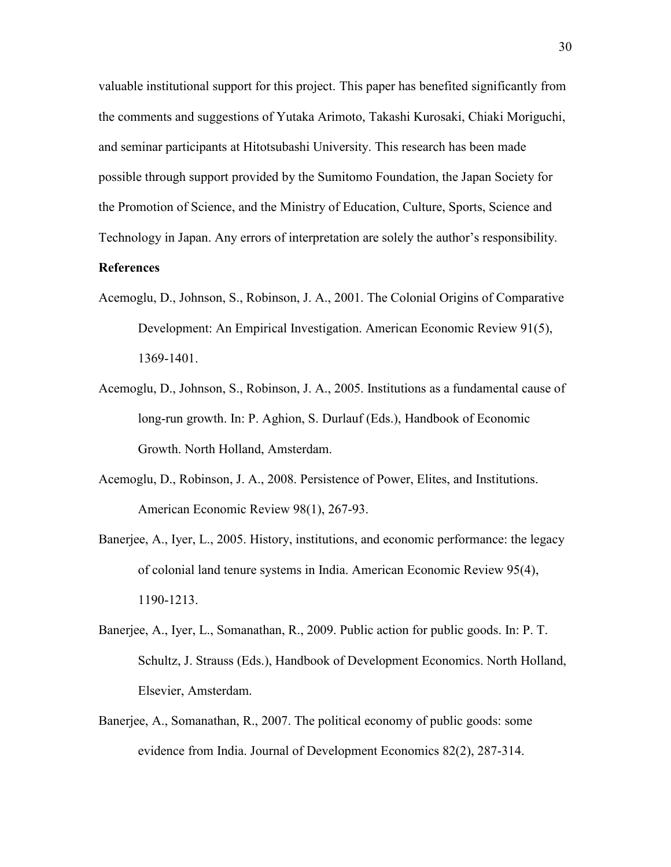valuable institutional support for this project. This paper has benefited significantly from the comments and suggestions of Yutaka Arimoto, Takashi Kurosaki, Chiaki Moriguchi, and seminar participants at Hitotsubashi University. This research has been made possible through support provided by the Sumitomo Foundation, the Japan Society for the Promotion of Science, and the Ministry of Education, Culture, Sports, Science and Technology in Japan. Any errors of interpretation are solely the author's responsibility.

# **References**

- Acemoglu, D., Johnson, S., Robinson, J. A., 2001. The Colonial Origins of Comparative Development: An Empirical Investigation. American Economic Review 91(5), 1369-1401.
- Acemoglu, D., Johnson, S., Robinson, J. A., 2005. Institutions as a fundamental cause of long-run growth. In: P. Aghion, S. Durlauf (Eds.), Handbook of Economic Growth. North Holland, Amsterdam.
- Acemoglu, D., Robinson, J. A., 2008. Persistence of Power, Elites, and Institutions. American Economic Review 98(1), 267-93.
- Banerjee, A., Iyer, L., 2005. History, institutions, and economic performance: the legacy of colonial land tenure systems in India. American Economic Review 95(4), 1190-1213.
- Banerjee, A., Iyer, L., Somanathan, R., 2009. Public action for public goods. In: P. T. Schultz, J. Strauss (Eds.), Handbook of Development Economics. North Holland, Elsevier, Amsterdam.
- Banerjee, A., Somanathan, R., 2007. The political economy of public goods: some evidence from India. Journal of Development Economics 82(2), 287-314.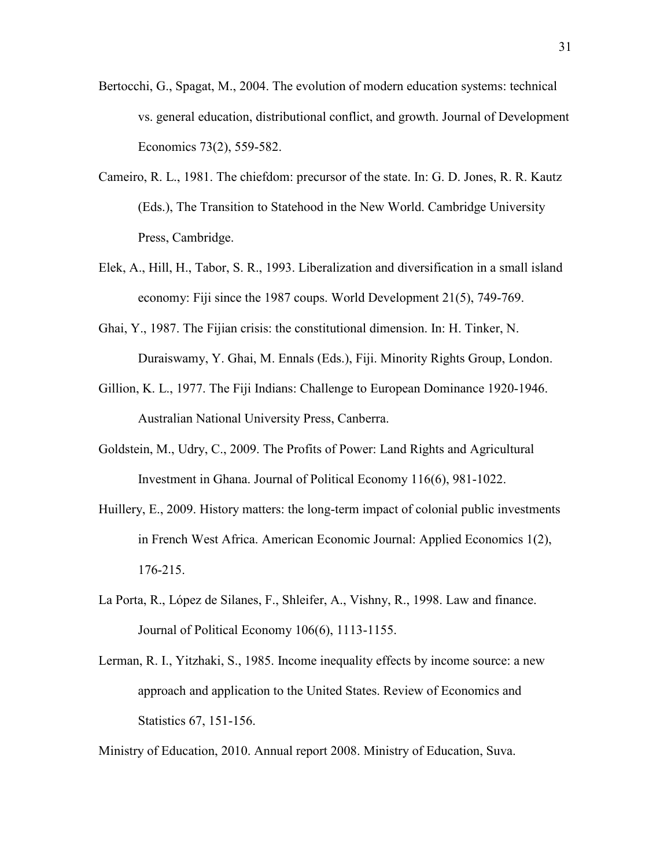- Bertocchi, G., Spagat, M., 2004. The evolution of modern education systems: technical vs. general education, distributional conflict, and growth. Journal of Development Economics 73(2), 559-582.
- Cameiro, R. L., 1981. The chiefdom: precursor of the state. In: G. D. Jones, R. R. Kautz (Eds.), The Transition to Statehood in the New World. Cambridge University Press, Cambridge.
- Elek, A., Hill, H., Tabor, S. R., 1993. Liberalization and diversification in a small island economy: Fiji since the 1987 coups. World Development 21(5), 749-769.
- Ghai, Y., 1987. The Fijian crisis: the constitutional dimension. In: H. Tinker, N. Duraiswamy, Y. Ghai, M. Ennals (Eds.), Fiji. Minority Rights Group, London.
- Gillion, K. L., 1977. The Fiji Indians: Challenge to European Dominance 1920-1946. Australian National University Press, Canberra.
- Goldstein, M., Udry, C., 2009. The Profits of Power: Land Rights and Agricultural Investment in Ghana. Journal of Political Economy 116(6), 981-1022.
- Huillery, E., 2009. History matters: the long-term impact of colonial public investments in French West Africa. American Economic Journal: Applied Economics 1(2), 176-215.
- La Porta, R., López de Silanes, F., Shleifer, A., Vishny, R., 1998. Law and finance. Journal of Political Economy 106(6), 1113-1155.
- Lerman, R. I., Yitzhaki, S., 1985. Income inequality effects by income source: a new approach and application to the United States. Review of Economics and Statistics 67, 151-156.

Ministry of Education, 2010. Annual report 2008. Ministry of Education, Suva.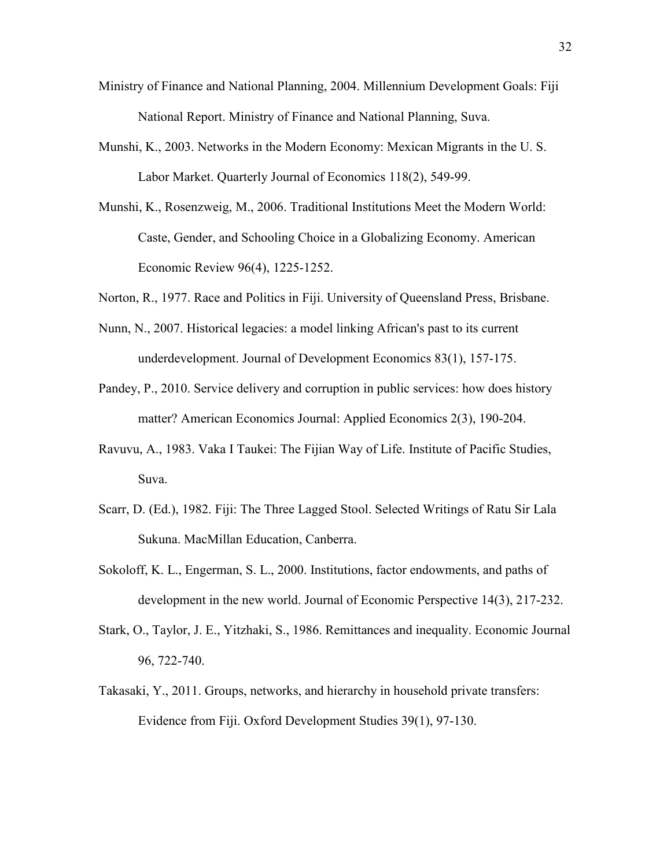- Ministry of Finance and National Planning, 2004. Millennium Development Goals: Fiji National Report. Ministry of Finance and National Planning, Suva.
- Munshi, K., 2003. Networks in the Modern Economy: Mexican Migrants in the U. S. Labor Market. Quarterly Journal of Economics 118(2), 549-99.
- Munshi, K., Rosenzweig, M., 2006. Traditional Institutions Meet the Modern World: Caste, Gender, and Schooling Choice in a Globalizing Economy. American Economic Review 96(4), 1225-1252.
- Norton, R., 1977. Race and Politics in Fiji. University of Queensland Press, Brisbane.
- Nunn, N., 2007. Historical legacies: a model linking African's past to its current underdevelopment. Journal of Development Economics 83(1), 157-175.
- Pandey, P., 2010. Service delivery and corruption in public services: how does history matter? American Economics Journal: Applied Economics 2(3), 190-204.
- Ravuvu, A., 1983. Vaka I Taukei: The Fijian Way of Life. Institute of Pacific Studies, Suva.
- Scarr, D. (Ed.), 1982. Fiji: The Three Lagged Stool. Selected Writings of Ratu Sir Lala Sukuna. MacMillan Education, Canberra.
- Sokoloff, K. L., Engerman, S. L., 2000. Institutions, factor endowments, and paths of development in the new world. Journal of Economic Perspective 14(3), 217-232.
- Stark, O., Taylor, J. E., Yitzhaki, S., 1986. Remittances and inequality. Economic Journal 96, 722-740.
- Takasaki, Y., 2011. Groups, networks, and hierarchy in household private transfers: Evidence from Fiji. Oxford Development Studies 39(1), 97-130.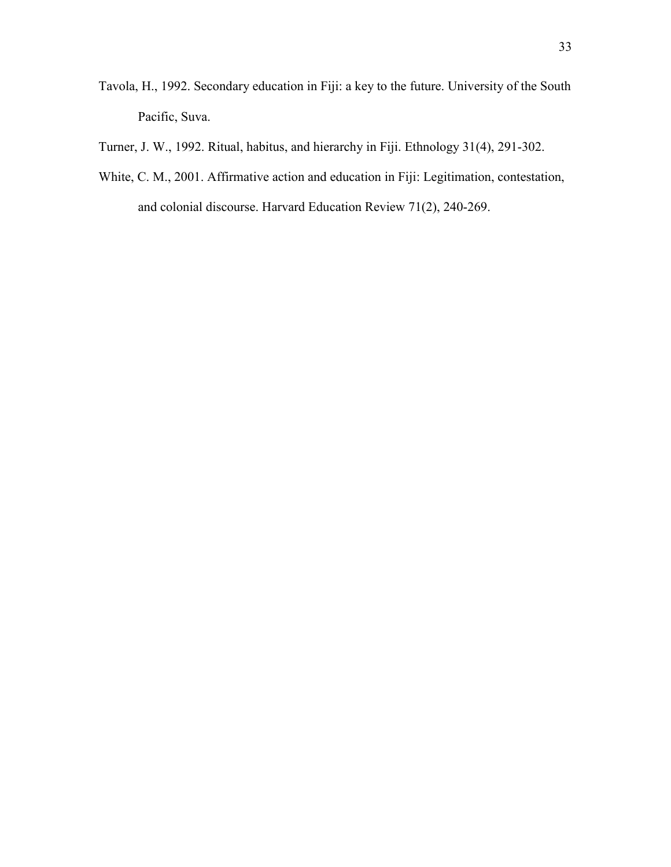- Tavola, H., 1992. Secondary education in Fiji: a key to the future. University of the South Pacific, Suva.
- Turner, J. W., 1992. Ritual, habitus, and hierarchy in Fiji. Ethnology 31(4), 291-302.
- White, C. M., 2001. Affirmative action and education in Fiji: Legitimation, contestation, and colonial discourse. Harvard Education Review 71(2), 240-269.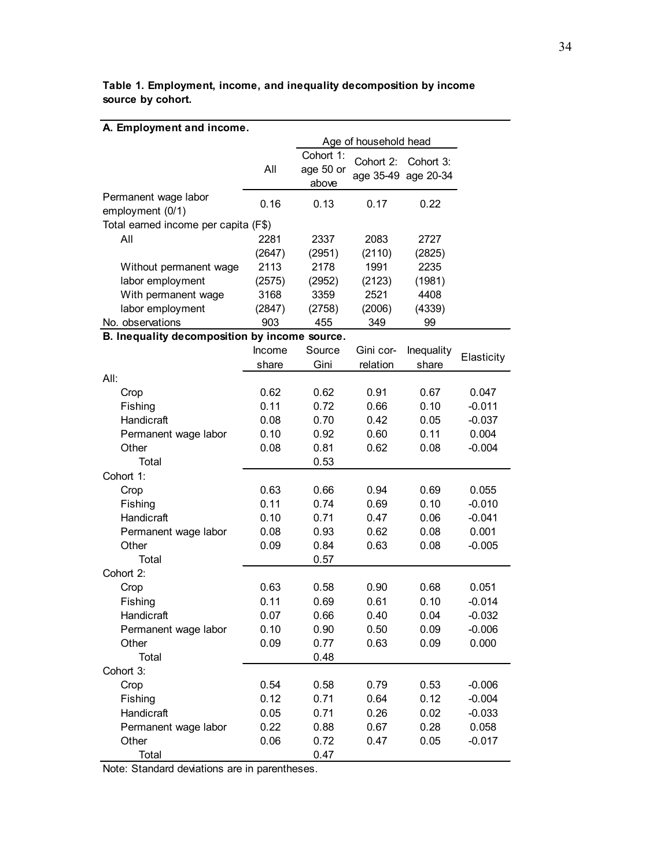| A. Employment and income.                     |        |                       |                     |            |            |  |  |
|-----------------------------------------------|--------|-----------------------|---------------------|------------|------------|--|--|
|                                               |        | Age of household head |                     |            |            |  |  |
|                                               |        | Cohort 1:             | Cohort 2:           | Cohort 3:  |            |  |  |
|                                               | All    | age 50 or             | age 35-49 age 20-34 |            |            |  |  |
|                                               |        | above                 |                     |            |            |  |  |
| Permanent wage labor                          | 0.16   | 0.13                  | 0.17                | 0.22       |            |  |  |
| employment (0/1)                              |        |                       |                     |            |            |  |  |
| Total earned income per capita (F\$)          |        |                       |                     |            |            |  |  |
| All                                           | 2281   | 2337                  | 2083                | 2727       |            |  |  |
|                                               | (2647) | (2951)                | (2110)              | (2825)     |            |  |  |
| Without permanent wage                        | 2113   | 2178                  | 1991                | 2235       |            |  |  |
| labor employment                              | (2575) | (2952)                | (2123)              | (1981)     |            |  |  |
| With permanent wage                           | 3168   | 3359                  | 2521                | 4408       |            |  |  |
| labor employment                              | (2847) | (2758)                | (2006)              | (4339)     |            |  |  |
| No. observations                              | 903    | 455                   | 349                 | 99         |            |  |  |
| B. Inequality decomposition by income source. |        |                       |                     |            |            |  |  |
|                                               | Income | Source                | Gini cor-           | Inequality | Elasticity |  |  |
|                                               | share  | Gini                  | relation            | share      |            |  |  |
| All:                                          |        |                       |                     |            |            |  |  |
| Crop                                          | 0.62   | 0.62                  | 0.91                | 0.67       | 0.047      |  |  |
| Fishing                                       | 0.11   | 0.72                  | 0.66                | 0.10       | $-0.011$   |  |  |
| Handicraft                                    | 0.08   | 0.70                  | 0.42                | 0.05       | $-0.037$   |  |  |
| Permanent wage labor                          | 0.10   | 0.92                  | 0.60                | 0.11       | 0.004      |  |  |
| Other                                         | 0.08   | 0.81                  | 0.62                | 0.08       | $-0.004$   |  |  |
| Total                                         |        | 0.53                  |                     |            |            |  |  |
| Cohort 1:                                     |        |                       |                     |            |            |  |  |
| Crop                                          | 0.63   | 0.66                  | 0.94                | 0.69       | 0.055      |  |  |
| Fishing                                       | 0.11   | 0.74                  | 0.69                | 0.10       | $-0.010$   |  |  |
| Handicraft                                    | 0.10   | 0.71                  | 0.47                | 0.06       | $-0.041$   |  |  |
| Permanent wage labor                          | 0.08   | 0.93                  | 0.62                | 0.08       | 0.001      |  |  |
| Other                                         | 0.09   | 0.84                  | 0.63                | 0.08       | $-0.005$   |  |  |
| Total                                         |        | 0.57                  |                     |            |            |  |  |
| Cohort 2:                                     |        |                       |                     |            |            |  |  |
| Crop                                          | 0.63   | 0.58                  | 0.90                | 0.68       | 0.051      |  |  |
| Fishing                                       | 0.11   | 0.69                  | 0.61                | 0.10       | $-0.014$   |  |  |
| Handicraft                                    | 0.07   | 0.66                  | 0.40                | 0.04       | $-0.032$   |  |  |
| Permanent wage labor                          | 0.10   | 0.90                  | 0.50                | 0.09       | $-0.006$   |  |  |
| Other                                         | 0.09   | 0.77                  | 0.63                | 0.09       | 0.000      |  |  |
| Total                                         |        | 0.48                  |                     |            |            |  |  |
| Cohort 3:                                     |        |                       |                     |            |            |  |  |
| Crop                                          | 0.54   | 0.58                  | 0.79                | 0.53       | $-0.006$   |  |  |
| Fishing                                       | 0.12   | 0.71                  | 0.64                | 0.12       | $-0.004$   |  |  |
| Handicraft                                    | 0.05   | 0.71                  | 0.26                | 0.02       | $-0.033$   |  |  |
| Permanent wage labor                          | 0.22   | 0.88                  | 0.67                | 0.28       | 0.058      |  |  |
| Other                                         | 0.06   | 0.72                  | 0.47                | 0.05       | $-0.017$   |  |  |
| Total                                         |        | 0.47                  |                     |            |            |  |  |

**Table 1. Employment, income, and inequality decomposition by income source by cohort.**

Note: Standard deviations are in parentheses.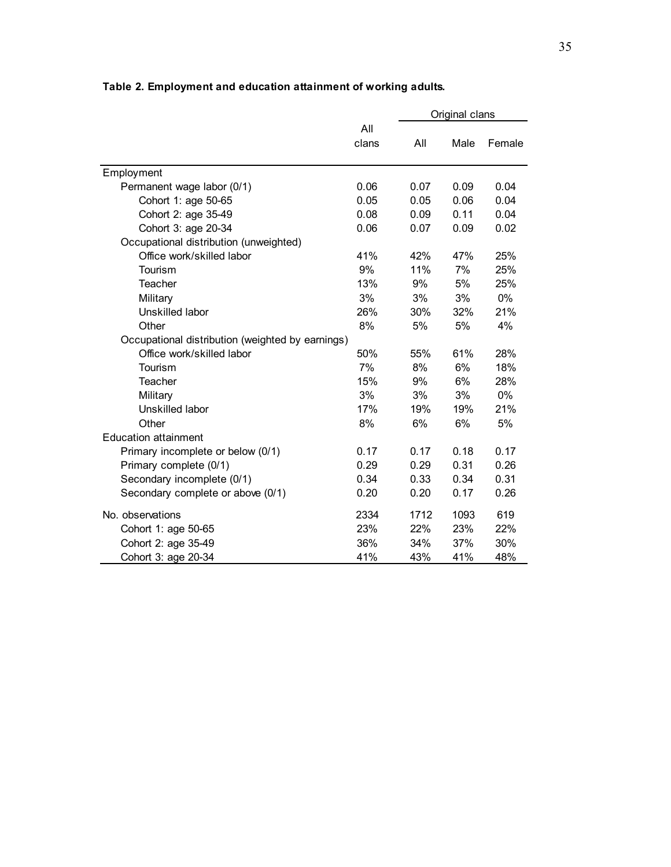|                                                  |       |      | Original clans |        |
|--------------------------------------------------|-------|------|----------------|--------|
|                                                  | All   |      |                |        |
|                                                  | clans | All  | Male           | Female |
|                                                  |       |      |                |        |
| Employment                                       |       |      |                |        |
| Permanent wage labor (0/1)                       | 0.06  | 0.07 | 0.09           | 0.04   |
| Cohort 1: age 50-65                              | 0.05  | 0.05 | 0.06           | 0.04   |
| Cohort 2: age 35-49                              | 0.08  | 0.09 | 0.11           | 0.04   |
| Cohort 3: age 20-34                              | 0.06  | 0.07 | 0.09           | 0.02   |
| Occupational distribution (unweighted)           |       |      |                |        |
| Office work/skilled labor                        | 41%   | 42%  | 47%            | 25%    |
| Tourism                                          | 9%    | 11%  | 7%             | 25%    |
| Teacher                                          | 13%   | 9%   | 5%             | 25%    |
| Military                                         | 3%    | 3%   | 3%             | $0\%$  |
| Unskilled labor                                  | 26%   | 30%  | 32%            | 21%    |
| Other                                            | 8%    | 5%   | 5%             | 4%     |
| Occupational distribution (weighted by earnings) |       |      |                |        |
| Office work/skilled labor                        | 50%   | 55%  | 61%            | 28%    |
| Tourism                                          | 7%    | 8%   | 6%             | 18%    |
| Teacher                                          | 15%   | 9%   | 6%             | 28%    |
| Military                                         | 3%    | 3%   | 3%             | 0%     |
| Unskilled labor                                  | 17%   | 19%  | 19%            | 21%    |
| Other                                            | 8%    | 6%   | 6%             | 5%     |
| <b>Education attainment</b>                      |       |      |                |        |
| Primary incomplete or below (0/1)                | 0.17  | 0.17 | 0.18           | 0.17   |
| Primary complete (0/1)                           | 0.29  | 0.29 | 0.31           | 0.26   |
| Secondary incomplete (0/1)                       | 0.34  | 0.33 | 0.34           | 0.31   |
| Secondary complete or above (0/1)                | 0.20  | 0.20 | 0.17           | 0.26   |
| No. observations                                 | 2334  | 1712 | 1093           | 619    |
| Cohort 1: age 50-65                              | 23%   | 22%  | 23%            | 22%    |
| Cohort 2: age 35-49                              | 36%   | 34%  | 37%            | 30%    |
| Cohort 3: age 20-34                              | 41%   | 43%  | 41%            | 48%    |

**Table 2. Employment and education attainment of working adults.**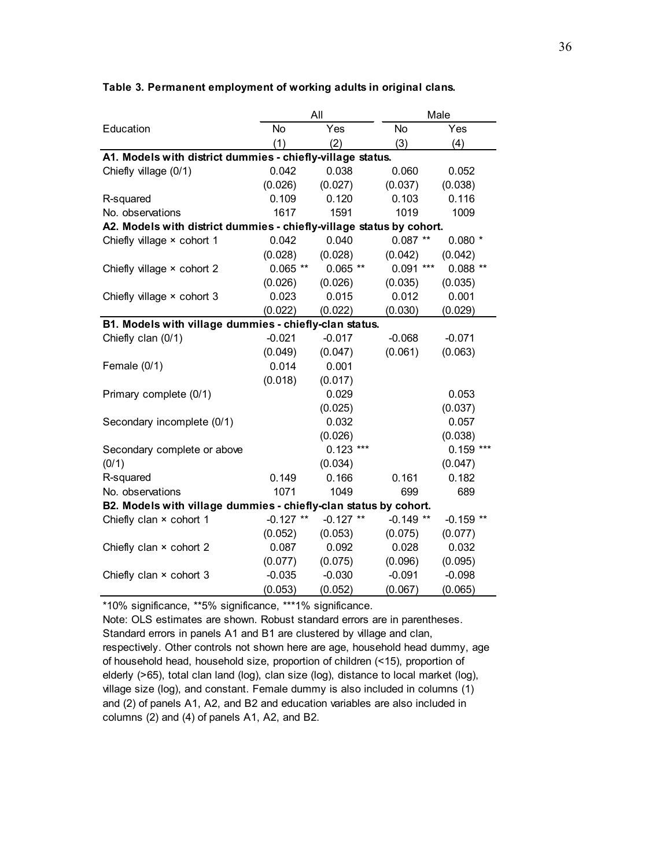|                                                                      |             | All         | Male       |             |  |  |  |  |  |
|----------------------------------------------------------------------|-------------|-------------|------------|-------------|--|--|--|--|--|
| Education                                                            | No          | Yes         | No         | Yes         |  |  |  |  |  |
|                                                                      | (1)         | (2)         | (3)        | (4)         |  |  |  |  |  |
| A1. Models with district dummies - chiefly-village status.           |             |             |            |             |  |  |  |  |  |
| Chiefly village (0/1)                                                | 0.042       | 0.038       | 0.060      | 0.052       |  |  |  |  |  |
|                                                                      | (0.026)     | (0.027)     | (0.037)    | (0.038)     |  |  |  |  |  |
| R-squared                                                            | 0.109       | 0.120       | 0.103      | 0.116       |  |  |  |  |  |
| No. observations                                                     | 1617        | 1591        | 1019       | 1009        |  |  |  |  |  |
| A2. Models with district dummies - chiefly-village status by cohort. |             |             |            |             |  |  |  |  |  |
| Chiefly village × cohort 1                                           | 0.042       | 0.040       | $0.087**$  | $0.080*$    |  |  |  |  |  |
|                                                                      | (0.028)     | (0.028)     | (0.042)    | (0.042)     |  |  |  |  |  |
| Chiefly village × cohort 2                                           | $0.065$ **  | $0.065$ **  | $0.091***$ | $0.088**$   |  |  |  |  |  |
|                                                                      | (0.026)     | (0.026)     | (0.035)    | (0.035)     |  |  |  |  |  |
| Chiefly village × cohort 3                                           | 0.023       | 0.015       | 0.012      | 0.001       |  |  |  |  |  |
|                                                                      | (0.022)     | (0.022)     | (0.030)    | (0.029)     |  |  |  |  |  |
| B1. Models with village dummies - chiefly-clan status.               |             |             |            |             |  |  |  |  |  |
| Chiefly clan (0/1)                                                   | $-0.021$    | $-0.017$    | $-0.068$   | $-0.071$    |  |  |  |  |  |
|                                                                      | (0.049)     | (0.047)     | (0.061)    | (0.063)     |  |  |  |  |  |
| Female (0/1)                                                         | 0.014       | 0.001       |            |             |  |  |  |  |  |
|                                                                      | (0.018)     | (0.017)     |            |             |  |  |  |  |  |
| Primary complete (0/1)                                               |             | 0.029       |            | 0.053       |  |  |  |  |  |
|                                                                      |             | (0.025)     |            | (0.037)     |  |  |  |  |  |
| Secondary incomplete (0/1)                                           |             | 0.032       |            | 0.057       |  |  |  |  |  |
|                                                                      |             | (0.026)     |            | (0.038)     |  |  |  |  |  |
| Secondary complete or above                                          |             | $0.123$ *** |            | $0.159$ *** |  |  |  |  |  |
| (0/1)                                                                |             | (0.034)     |            | (0.047)     |  |  |  |  |  |
| R-squared                                                            | 0.149       | 0.166       | 0.161      | 0.182       |  |  |  |  |  |
| No. observations                                                     | 1071        | 1049        | 699        | 689         |  |  |  |  |  |
| B2. Models with village dummies - chiefly-clan status by cohort.     |             |             |            |             |  |  |  |  |  |
| Chiefly clan × cohort 1                                              | $-0.127$ ** | $-0.127$ ** | $-0.149**$ | $-0.159$ ** |  |  |  |  |  |
|                                                                      | (0.052)     | (0.053)     | (0.075)    | (0.077)     |  |  |  |  |  |
| Chiefly clan × cohort 2                                              | 0.087       | 0.092       | 0.028      | 0.032       |  |  |  |  |  |
|                                                                      | (0.077)     | (0.075)     | (0.096)    | (0.095)     |  |  |  |  |  |
| Chiefly clan × cohort 3                                              | $-0.035$    | $-0.030$    | $-0.091$   | $-0.098$    |  |  |  |  |  |
|                                                                      | (0.053)     | (0.052)     | (0.067)    | (0.065)     |  |  |  |  |  |

\*10% significance, \*\*5% significance, \*\*\*1% significance.

Note: OLS estimates are shown. Robust standard errors are in parentheses. Standard errors in panels A1 and B1 are clustered by village and clan, respectively. Other controls not shown here are age, household head dummy, age of household head, household size, proportion of children (<15), proportion of elderly (>65), total clan land (log), clan size (log), distance to local market (log), village size (log), and constant. Female dummy is also included in columns (1) and (2) of panels A1, A2, and B2 and education variables are also included in columns (2) and (4) of panels A1, A2, and B2.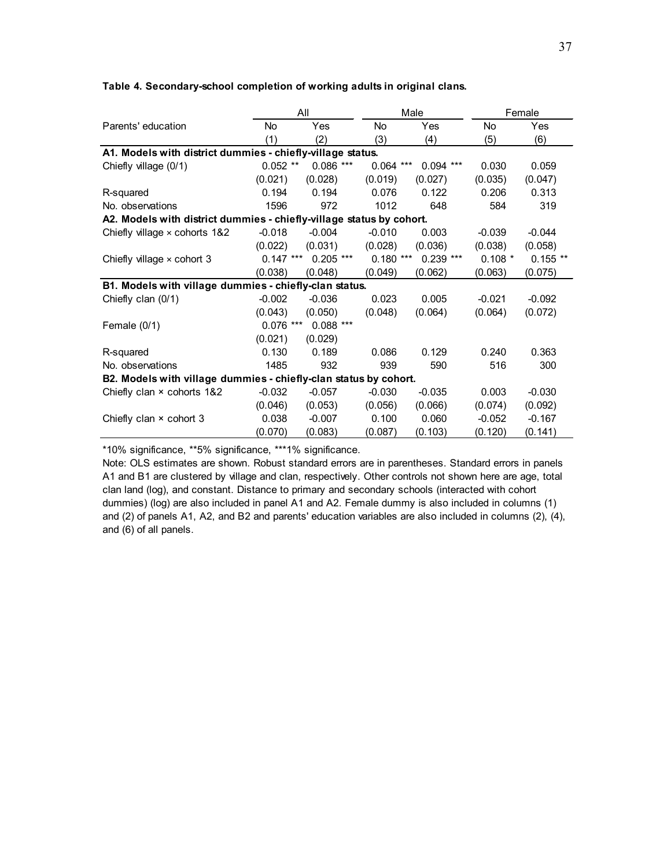#### **Table 4. Secondary-school completion of working adults in original clans.**

|                                                                      |             | All         | Male        |             |                | Female     |  |
|----------------------------------------------------------------------|-------------|-------------|-------------|-------------|----------------|------------|--|
| Parents' education                                                   | No          | Yes         | No          | Yes         | N <sub>o</sub> | Yes        |  |
|                                                                      | (1)         | (2)         | (3)         | (4)         | (5)            | (6)        |  |
| A1. Models with district dummies - chiefly-village status.           |             |             |             |             |                |            |  |
| Chiefly village (0/1)                                                | $0.052$ **  | $0.086***$  | $0.064$ *** | $0.094$ *** | 0.030          | 0.059      |  |
|                                                                      | (0.021)     | (0.028)     | (0.019)     | (0.027)     | (0.035)        | (0.047)    |  |
| R-squared                                                            | 0.194       | 0.194       | 0.076       | 0.122       | 0.206          | 0.313      |  |
| No. observations                                                     | 1596        | 972         | 1012        | 648         | 584            | 319        |  |
| A2. Models with district dummies - chiefly-village status by cohort. |             |             |             |             |                |            |  |
| Chiefly village $\times$ cohorts 1&2                                 | $-0.018$    | $-0.004$    | $-0.010$    | 0.003       | $-0.039$       | $-0.044$   |  |
|                                                                      | (0.022)     | (0.031)     | (0.028)     | (0.036)     | (0.038)        | (0.058)    |  |
| Chiefly village $\times$ cohort 3                                    | $0.147***$  | $0.205$ *** | $0.180***$  | $0.239$ *** | $0.108*$       | $0.155$ ** |  |
|                                                                      | (0.038)     | (0.048)     | (0.049)     | (0.062)     | (0.063)        | (0.075)    |  |
| B1. Models with village dummies - chiefly-clan status.               |             |             |             |             |                |            |  |
| Chiefly clan (0/1)                                                   | $-0.002$    | $-0.036$    | 0.023       | 0.005       | $-0.021$       | $-0.092$   |  |
|                                                                      | (0.043)     | (0.050)     | (0.048)     | (0.064)     | (0.064)        | (0.072)    |  |
| Female $(0/1)$                                                       | $0.076$ *** | $0.088***$  |             |             |                |            |  |
|                                                                      | (0.021)     | (0.029)     |             |             |                |            |  |
| R-squared                                                            | 0.130       | 0.189       | 0.086       | 0.129       | 0.240          | 0.363      |  |
| No. observations                                                     | 1485        | 932         | 939         | 590         | 516            | 300        |  |
| B2. Models with village dummies - chiefly-clan status by cohort.     |             |             |             |             |                |            |  |
| Chiefly clan × cohorts 1&2                                           | $-0.032$    | $-0.057$    | $-0.030$    | $-0.035$    | 0.003          | $-0.030$   |  |
|                                                                      | (0.046)     | (0.053)     | (0.056)     | (0.066)     | (0.074)        | (0.092)    |  |
| Chiefly clan $\times$ cohort 3                                       | 0.038       | $-0.007$    | 0.100       | 0.060       | $-0.052$       | $-0.167$   |  |
|                                                                      | (0.070)     | (0.083)     | (0.087)     | (0.103)     | (0.120)        | (0.141)    |  |

\*10% significance, \*\*5% significance, \*\*\*1% significance.

Note: OLS estimates are shown. Robust standard errors are in parentheses. Standard errors in panels A1 and B1 are clustered by village and clan, respectively. Other controls not shown here are age, total clan land (log), and constant. Distance to primary and secondary schools (interacted with cohort dummies) (log) are also included in panel A1 and A2. Female dummy is also included in columns (1) and (2) of panels A1, A2, and B2 and parents' education variables are also included in columns (2), (4), and (6) of all panels.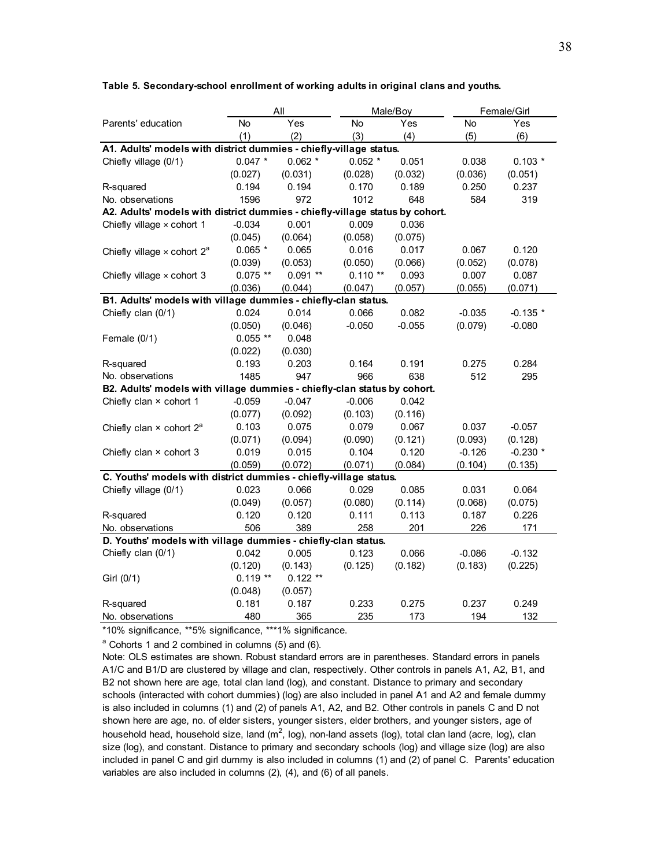|                                                                              |            | All       |           | Male/Boy |          | Female/Girl |  |  |  |
|------------------------------------------------------------------------------|------------|-----------|-----------|----------|----------|-------------|--|--|--|
| Parents' education                                                           | No         | Yes       | No        | Yes      | No       | Yes         |  |  |  |
|                                                                              | (1)        | (2)       | (3)       | (4)      | (5)      | (6)         |  |  |  |
| A1. Adults' models with district dummies - chiefly-village status.           |            |           |           |          |          |             |  |  |  |
| Chiefly village (0/1)                                                        | $0.047$ *  | $0.062$ * | $0.052$ * | 0.051    | 0.038    | $0.103*$    |  |  |  |
|                                                                              | (0.027)    | (0.031)   | (0.028)   | (0.032)  | (0.036)  | (0.051)     |  |  |  |
| R-squared                                                                    | 0.194      | 0.194     | 0.170     | 0.189    | 0.250    | 0.237       |  |  |  |
| No. observations                                                             | 1596       | 972       | 1012      | 648      | 584      | 319         |  |  |  |
| A2. Adults' models with district dummies - chiefly-village status by cohort. |            |           |           |          |          |             |  |  |  |
| Chiefly village $\times$ cohort 1                                            | $-0.034$   | 0.001     | 0.009     | 0.036    |          |             |  |  |  |
|                                                                              | (0.045)    | (0.064)   | (0.058)   | (0.075)  |          |             |  |  |  |
| Chiefly village $\times$ cohort $2^a$                                        | $0.065*$   | 0.065     | 0.016     | 0.017    | 0.067    | 0.120       |  |  |  |
|                                                                              | (0.039)    | (0.053)   | (0.050)   | (0.066)  | (0.052)  | (0.078)     |  |  |  |
| Chiefly village x cohort 3                                                   | $0.075$ ** | $0.091**$ | $0.110**$ | 0.093    | 0.007    | 0.087       |  |  |  |
|                                                                              | (0.036)    | (0.044)   | (0.047)   | (0.057)  | (0.055)  | (0.071)     |  |  |  |
| B1. Adults' models with village dummies - chiefly-clan status.               |            |           |           |          |          |             |  |  |  |
| Chiefly clan (0/1)                                                           | 0.024      | 0.014     | 0.066     | 0.082    | $-0.035$ | $-0.135$ *  |  |  |  |
|                                                                              | (0.050)    | (0.046)   | $-0.050$  | $-0.055$ | (0.079)  | $-0.080$    |  |  |  |
| Female $(0/1)$                                                               | $0.055$ ** | 0.048     |           |          |          |             |  |  |  |
|                                                                              | (0.022)    | (0.030)   |           |          |          |             |  |  |  |
| R-squared                                                                    | 0.193      | 0.203     | 0.164     | 0.191    | 0.275    | 0.284       |  |  |  |
| No. observations                                                             | 1485       | 947       | 966       | 638      | 512      | 295         |  |  |  |
| B2. Adults' models with village dummies - chiefly-clan status by cohort.     |            |           |           |          |          |             |  |  |  |
| Chiefly clan × cohort 1                                                      | $-0.059$   | $-0.047$  | $-0.006$  | 0.042    |          |             |  |  |  |
|                                                                              | (0.077)    | (0.092)   | (0.103)   | (0.116)  |          |             |  |  |  |
| Chiefly clan $\times$ cohort $2^a$                                           | 0.103      | 0.075     | 0.079     | 0.067    | 0.037    | $-0.057$    |  |  |  |
|                                                                              | (0.071)    | (0.094)   | (0.090)   | (0.121)  | (0.093)  | (0.128)     |  |  |  |
| Chiefly clan × cohort 3                                                      | 0.019      | 0.015     | 0.104     | 0.120    | $-0.126$ | $-0.230$ *  |  |  |  |
|                                                                              | (0.059)    | (0.072)   | (0.071)   | (0.084)  | (0.104)  | (0.135)     |  |  |  |
| C. Youths' models with district dummies - chiefly-village status.            |            |           |           |          |          |             |  |  |  |
| Chiefly village (0/1)                                                        | 0.023      | 0.066     | 0.029     | 0.085    | 0.031    | 0.064       |  |  |  |
|                                                                              | (0.049)    | (0.057)   | (0.080)   | (0.114)  | (0.068)  | (0.075)     |  |  |  |
| R-squared                                                                    | 0.120      | 0.120     | 0.111     | 0.113    | 0.187    | 0.226       |  |  |  |
| No. observations                                                             | 506        | 389       | 258       | 201      | 226      | 171         |  |  |  |
| D. Youths' models with village dummies - chiefly-clan status.                |            |           |           |          |          |             |  |  |  |
| Chiefly clan (0/1)                                                           | 0.042      | 0.005     | 0.123     | 0.066    | $-0.086$ | $-0.132$    |  |  |  |
|                                                                              | (0.120)    | (0.143)   | (0.125)   | (0.182)  | (0.183)  | (0.225)     |  |  |  |
| Girl (0/1)                                                                   | $0.119**$  | $0.122**$ |           |          |          |             |  |  |  |
|                                                                              | (0.048)    | (0.057)   |           |          |          |             |  |  |  |
| R-squared                                                                    | 0.181      | 0.187     | 0.233     | 0.275    | 0.237    | 0.249       |  |  |  |
| No. observations                                                             | 480        | 365       | 235       | 173      | 194      | 132         |  |  |  |

#### **Table 5. Secondary-school enrollment of working adults in original clans and youths.**

\*10% significance, \*\*5% significance, \*\*\*1% significance.

<sup>a</sup> Cohorts 1 and 2 combined in columns (5) and (6).

Note: OLS estimates are shown. Robust standard errors are in parentheses. Standard errors in panels A1/C and B1/D are clustered by village and clan, respectively. Other controls in panels A1, A2, B1, and B2 not shown here are age, total clan land (log), and constant. Distance to primary and secondary schools (interacted with cohort dummies) (log) are also included in panel A1 and A2 and female dummy is also included in columns (1) and (2) of panels A1, A2, and B2. Other controls in panels C and D not shown here are age, no. of elder sisters, younger sisters, elder brothers, and younger sisters, age of household head, household size, land (m<sup>2</sup>, log), non-land assets (log), total clan land (acre, log), clan size (log), and constant. Distance to primary and secondary schools (log) and village size (log) are also included in panel C and girl dummy is also included in columns (1) and (2) of panel C. Parents' education variables are also included in columns (2), (4), and (6) of all panels.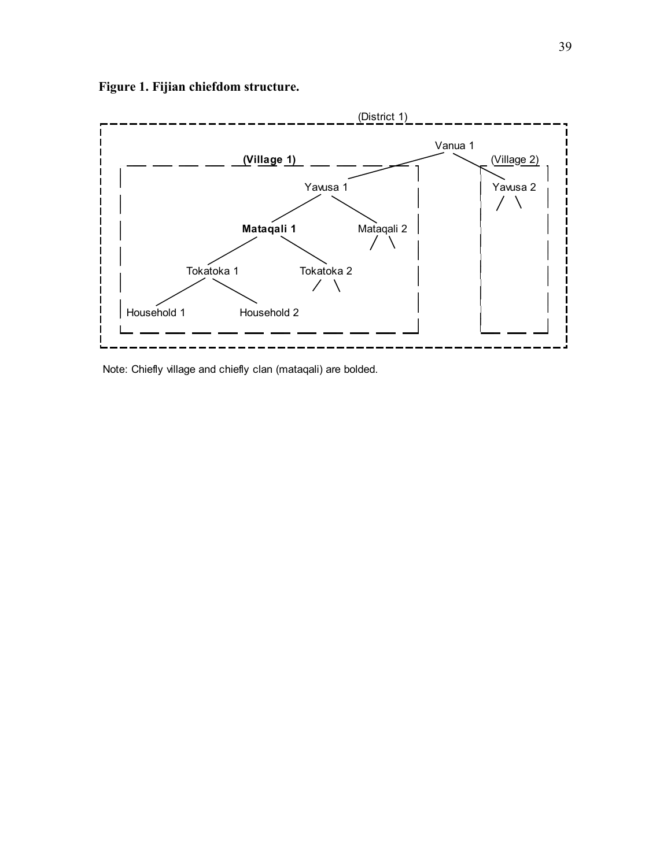

**Figure 1. Fijian chiefdom structure.**

Note: Chiefly village and chiefly clan (mataqali) are bolded.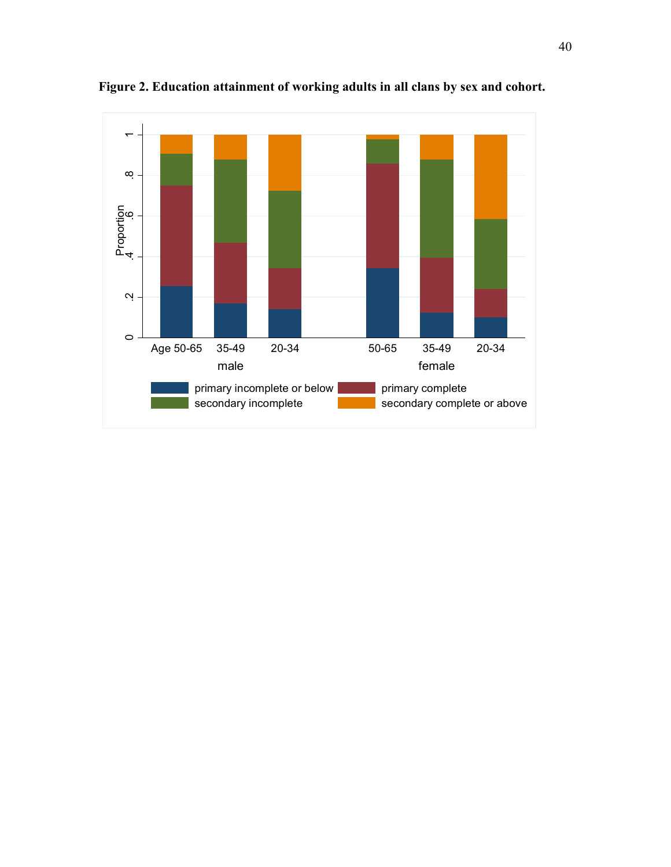

**Figure 2. Education attainment of working adults in all clans by sex and cohort.**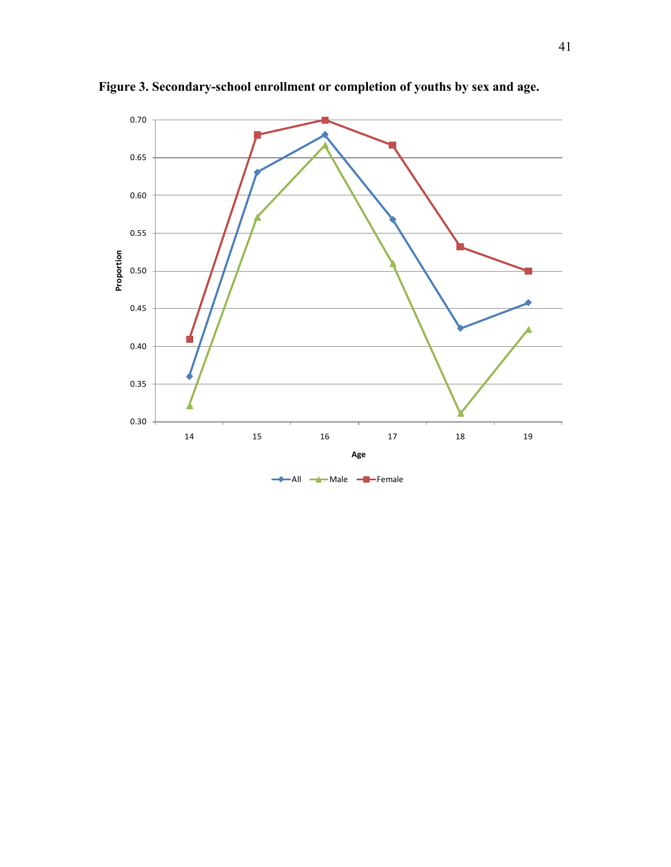

**Figure 3. Secondary-school enrollment or completion of youths by sex and age.**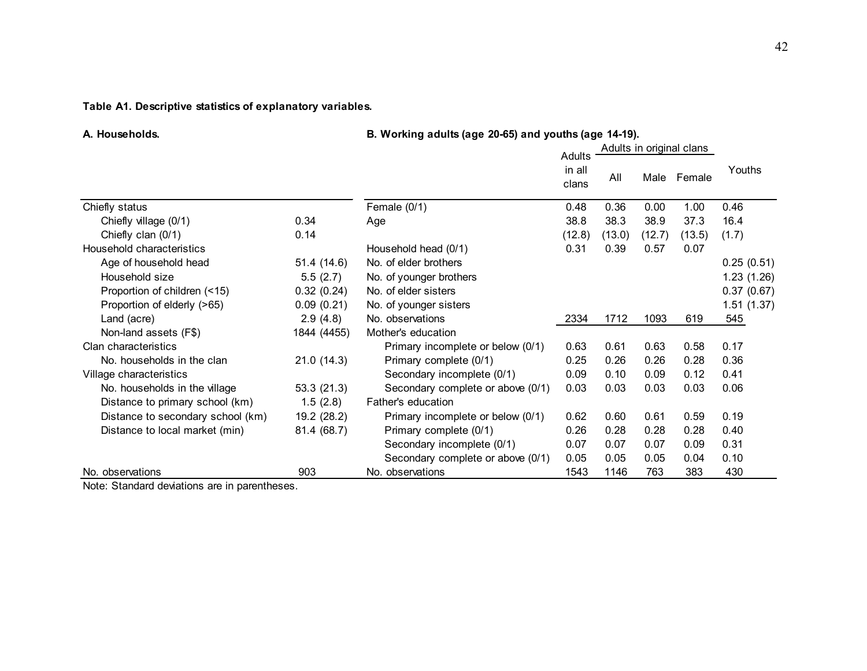## **Table A1. Descriptive statistics of explanatory variables.**

**A. Households. B. Working adults (age 20-65) and youths (age 14-19).**

|                                   |             |                                   | Adults in original clans  |        |        |        |            |
|-----------------------------------|-------------|-----------------------------------|---------------------------|--------|--------|--------|------------|
|                                   |             |                                   | Adults<br>in all<br>clans | All    | Male   | Female | Youths     |
| Chiefly status                    |             | Female $(0/1)$                    | 0.48                      | 0.36   | 0.00   | 1.00   | 0.46       |
| Chiefly village (0/1)             | 0.34        | Age                               | 38.8                      | 38.3   | 38.9   | 37.3   | 16.4       |
| Chiefly clan (0/1)                | 0.14        |                                   | (12.8)                    | (13.0) | (12.7) | (13.5) | (1.7)      |
| Household characteristics         |             | Household head (0/1)              | 0.31                      | 0.39   | 0.57   | 0.07   |            |
| Age of household head             | 51.4(14.6)  | No. of elder brothers             |                           |        |        |        | 0.25(0.51) |
| Household size                    | 5.5(2.7)    | No. of younger brothers           |                           |        |        |        | 1.23(1.26) |
| Proportion of children (<15)      | 0.32(0.24)  | No. of elder sisters              |                           |        |        |        | 0.37(0.67) |
| Proportion of elderly (>65)       | 0.09(0.21)  | No. of younger sisters            |                           |        |        |        | 1.51(1.37) |
| Land (acre)                       | 2.9(4.8)    | No. observations                  | 2334                      | 1712   | 1093   | 619    | 545        |
| Non-land assets (F\$)             | 1844 (4455) | Mother's education                |                           |        |        |        |            |
| Clan characteristics              |             | Primary incomplete or below (0/1) | 0.63                      | 0.61   | 0.63   | 0.58   | 0.17       |
| No. households in the clan        | 21.0(14.3)  | Primary complete (0/1)            | 0.25                      | 0.26   | 0.26   | 0.28   | 0.36       |
| Village characteristics           |             | Secondary incomplete (0/1)        | 0.09                      | 0.10   | 0.09   | 0.12   | 0.41       |
| No. households in the village     | 53.3(21.3)  | Secondary complete or above (0/1) | 0.03                      | 0.03   | 0.03   | 0.03   | 0.06       |
| Distance to primary school (km)   | 1.5(2.8)    | Father's education                |                           |        |        |        |            |
| Distance to secondary school (km) | 19.2 (28.2) | Primary incomplete or below (0/1) | 0.62                      | 0.60   | 0.61   | 0.59   | 0.19       |
| Distance to local market (min)    | 81.4 (68.7) | Primary complete (0/1)            | 0.26                      | 0.28   | 0.28   | 0.28   | 0.40       |
|                                   |             | Secondary incomplete (0/1)        | 0.07                      | 0.07   | 0.07   | 0.09   | 0.31       |
|                                   |             | Secondary complete or above (0/1) | 0.05                      | 0.05   | 0.05   | 0.04   | 0.10       |
| No. observations                  | 903         | No. observations                  | 1543                      | 1146   | 763    | 383    | 430        |

Note: Standard deviations are in parentheses.